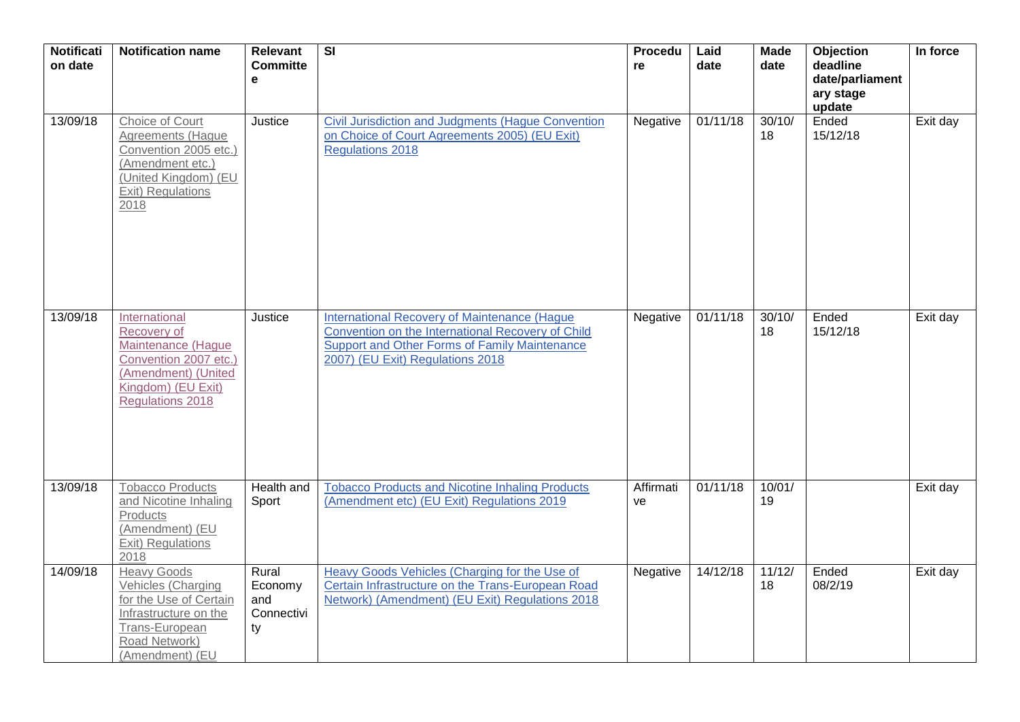| <b>Notificati</b><br>on date | <b>Notification name</b>                                                                                                                                 | <b>Relevant</b><br><b>Committe</b><br>e     | $\overline{\mathsf{SI}}$                                                                                                                                                               | Procedu<br>re   | Laid<br>date | <b>Made</b><br>date | Objection<br>deadline<br>date/parliament<br>ary stage<br>update | In force |
|------------------------------|----------------------------------------------------------------------------------------------------------------------------------------------------------|---------------------------------------------|----------------------------------------------------------------------------------------------------------------------------------------------------------------------------------------|-----------------|--------------|---------------------|-----------------------------------------------------------------|----------|
| 13/09/18                     | Choice of Court<br>Agreements (Hague<br>Convention 2005 etc.)<br>(Amendment etc.)<br>(United Kingdom) (EU<br>Exit) Regulations<br>2018                   | Justice                                     | <b>Civil Jurisdiction and Judgments (Hague Convention</b><br>on Choice of Court Agreements 2005) (EU Exit)<br><b>Regulations 2018</b>                                                  | Negative        | 01/11/18     | 30/10/<br>18        | Ended<br>15/12/18                                               | Exit day |
| 13/09/18                     | International<br>Recovery of<br>Maintenance (Hague<br>Convention 2007 etc.)<br>(Amendment) (United<br>Kingdom) (EU Exit)<br><b>Regulations 2018</b>      | Justice                                     | International Recovery of Maintenance (Hague<br>Convention on the International Recovery of Child<br>Support and Other Forms of Family Maintenance<br>2007) (EU Exit) Regulations 2018 | Negative        | 01/11/18     | 30/10/<br>18        | Ended<br>15/12/18                                               | Exit day |
| 13/09/18                     | <b>Tobacco Products</b><br>and Nicotine Inhaling<br>Products<br>(Amendment) (EU<br>Exit) Regulations<br>2018                                             | Health and<br>Sport                         | <b>Tobacco Products and Nicotine Inhaling Products</b><br>(Amendment etc) (EU Exit) Regulations 2019                                                                                   | Affirmati<br>ve | 01/11/18     | 10/01/<br>19        |                                                                 | Exit day |
| 14/09/18                     | <b>Heavy Goods</b><br><b>Vehicles (Charging</b><br>for the Use of Certain<br>Infrastructure on the<br>Trans-European<br>Road Network)<br>(Amendment) (EU | Rural<br>Economy<br>and<br>Connectivi<br>ty | Heavy Goods Vehicles (Charging for the Use of<br>Certain Infrastructure on the Trans-European Road<br>Network) (Amendment) (EU Exit) Regulations 2018                                  | Negative        | 14/12/18     | 11/12/<br>18        | Ended<br>08/2/19                                                | Exit day |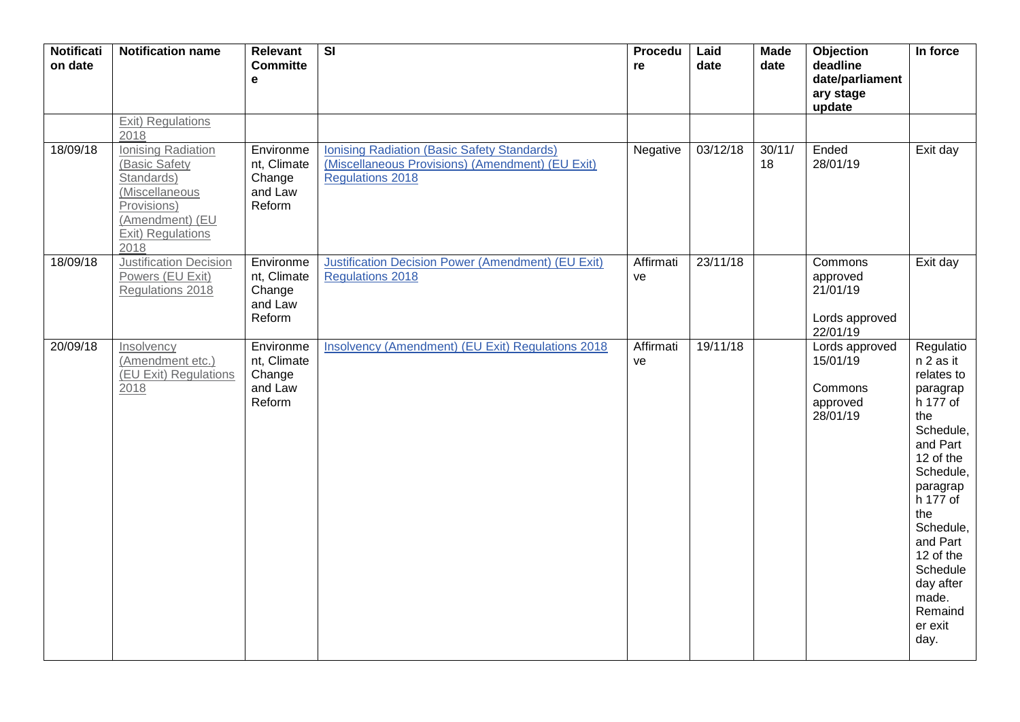| Notificati<br>on date | <b>Notification name</b>                                                                                                           | Relevant<br><b>Committe</b><br>e                        | $\overline{\mathsf{SI}}$                                                                                                          | <b>Procedu</b><br>re | Laid<br>date | <b>Made</b><br>date | Objection<br>deadline<br>date/parliament<br>ary stage<br>update | In force                                                                                                                                                                                                                                                    |
|-----------------------|------------------------------------------------------------------------------------------------------------------------------------|---------------------------------------------------------|-----------------------------------------------------------------------------------------------------------------------------------|----------------------|--------------|---------------------|-----------------------------------------------------------------|-------------------------------------------------------------------------------------------------------------------------------------------------------------------------------------------------------------------------------------------------------------|
|                       | Exit) Regulations<br>2018                                                                                                          |                                                         |                                                                                                                                   |                      |              |                     |                                                                 |                                                                                                                                                                                                                                                             |
| 18/09/18              | Ionising Radiation<br>(Basic Safety<br>Standards)<br>(Miscellaneous<br>Provisions)<br>(Amendment) (EU<br>Exit) Regulations<br>2018 | Environme<br>nt, Climate<br>Change<br>and Law<br>Reform | <b>Ionising Radiation (Basic Safety Standards)</b><br>(Miscellaneous Provisions) (Amendment) (EU Exit)<br><b>Regulations 2018</b> | Negative             | 03/12/18     | 30/11/<br>18        | Ended<br>28/01/19                                               | Exit day                                                                                                                                                                                                                                                    |
| 18/09/18              | <b>Justification Decision</b><br>Powers (EU Exit)<br>Regulations 2018                                                              | Environme<br>nt, Climate<br>Change<br>and Law<br>Reform | <b>Justification Decision Power (Amendment) (EU Exit)</b><br><b>Regulations 2018</b>                                              | Affirmati<br>ve      | 23/11/18     |                     | Commons<br>approved<br>21/01/19<br>Lords approved<br>22/01/19   | Exit day                                                                                                                                                                                                                                                    |
| 20/09/18              | Insolvency<br>(Amendment etc.)<br>(EU Exit) Regulations<br>2018                                                                    | Environme<br>nt, Climate<br>Change<br>and Law<br>Reform | Insolvency (Amendment) (EU Exit) Regulations 2018                                                                                 | Affirmati<br>ve      | 19/11/18     |                     | Lords approved<br>15/01/19<br>Commons<br>approved<br>28/01/19   | Regulatio<br>n 2 as it<br>relates to<br>paragrap<br>h 177 of<br>the<br>Schedule,<br>and Part<br>12 of the<br>Schedule,<br>paragrap<br>h 177 of<br>the<br>Schedule,<br>and Part<br>12 of the<br>Schedule<br>day after<br>made.<br>Remaind<br>er exit<br>day. |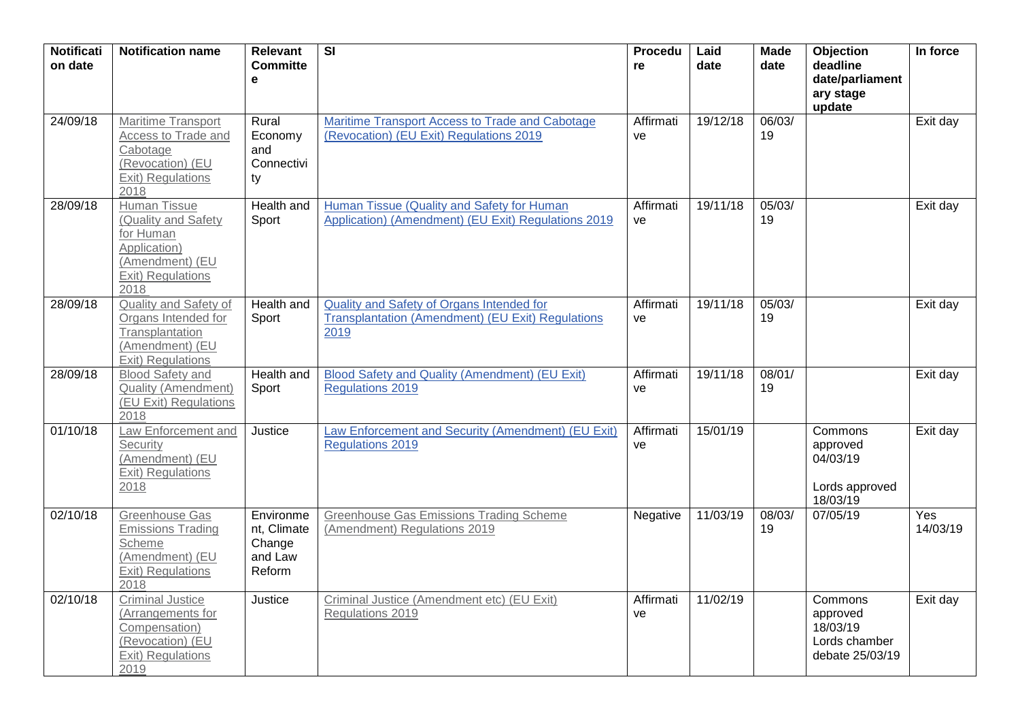| <b>Notificati</b><br>on date | <b>Notification name</b>                                                                                                | <b>Relevant</b><br><b>Committe</b><br>e                 | $\overline{\mathsf{SI}}$                                                                               | <b>Procedu</b><br>re | Laid<br>date | <b>Made</b><br>date | Objection<br>deadline<br>date/parliament<br>ary stage<br>update     | In force        |
|------------------------------|-------------------------------------------------------------------------------------------------------------------------|---------------------------------------------------------|--------------------------------------------------------------------------------------------------------|----------------------|--------------|---------------------|---------------------------------------------------------------------|-----------------|
| 24/09/18                     | Maritime Transport<br>Access to Trade and<br>Cabotage<br>(Revocation) (EU<br>Exit) Regulations<br>2018                  | Rural<br>Economy<br>and<br>Connectivi<br>ty             | Maritime Transport Access to Trade and Cabotage<br>(Revocation) (EU Exit) Regulations 2019             | Affirmati<br>ve      | 19/12/18     | 06/03/<br>19        |                                                                     | Exit day        |
| 28/09/18                     | <b>Human Tissue</b><br>(Quality and Safety<br>for Human<br>Application)<br>(Amendment) (EU<br>Exit) Regulations<br>2018 | Health and<br>Sport                                     | Human Tissue (Quality and Safety for Human<br>Application) (Amendment) (EU Exit) Regulations 2019      | Affirmati<br>ve      | 19/11/18     | 05/03/<br>19        |                                                                     | Exit day        |
| 28/09/18                     | Quality and Safety of<br>Organs Intended for<br>Transplantation<br>(Amendment) (EU<br>Exit) Regulations                 | Health and<br>Sport                                     | Quality and Safety of Organs Intended for<br>Transplantation (Amendment) (EU Exit) Regulations<br>2019 | Affirmati<br>ve      | 19/11/18     | 05/03/<br>19        |                                                                     | Exit day        |
| 28/09/18                     | <b>Blood Safety and</b><br><b>Quality (Amendment)</b><br>(EU Exit) Regulations<br>2018                                  | Health and<br>Sport                                     | Blood Safety and Quality (Amendment) (EU Exit)<br><b>Regulations 2019</b>                              | Affirmati<br>ve      | 19/11/18     | 08/01/<br>19        |                                                                     | Exit day        |
| 01/10/18                     | Law Enforcement and<br>Security<br>(Amendment) (EU<br>Exit) Regulations<br>2018                                         | Justice                                                 | Law Enforcement and Security (Amendment) (EU Exit)<br><b>Regulations 2019</b>                          | Affirmati<br>ve      | 15/01/19     |                     | Commons<br>approved<br>04/03/19<br>Lords approved<br>18/03/19       | Exit day        |
| 02/10/18                     | Greenhouse Gas<br><b>Emissions Trading</b><br>Scheme<br>(Amendment) (EU<br>Exit) Regulations<br>2018                    | Environme<br>nt, Climate<br>Change<br>and Law<br>Reform | <b>Greenhouse Gas Emissions Trading Scheme</b><br>(Amendment) Regulations 2019                         | Negative             | 11/03/19     | 08/03/<br>19        | 07/05/19                                                            | Yes<br>14/03/19 |
| 02/10/18                     | <b>Criminal Justice</b><br>(Arrangements for<br>Compensation)<br>(Revocation) (EU<br><b>Exit) Regulations</b><br>2019   | Justice                                                 | Criminal Justice (Amendment etc) (EU Exit)<br>Regulations 2019                                         | Affirmati<br>ve      | 11/02/19     |                     | Commons<br>approved<br>18/03/19<br>Lords chamber<br>debate 25/03/19 | Exit day        |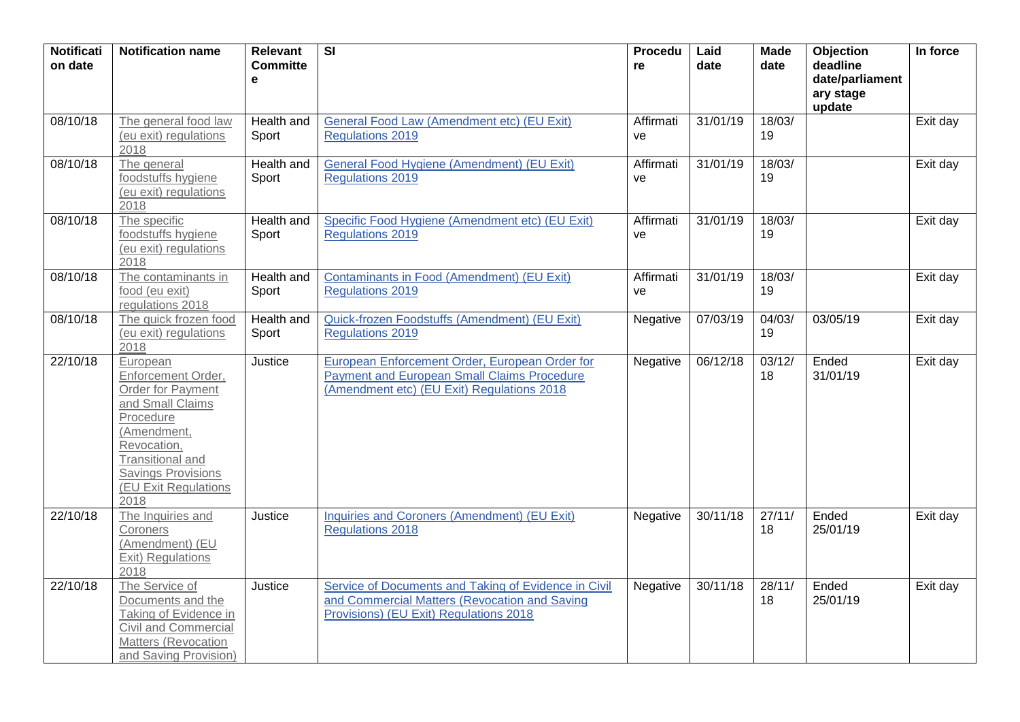| <b>Notificati</b><br>on date | <b>Notification name</b>                                                                                                                                                                                   | <b>Relevant</b><br><b>Committe</b><br>e | $\overline{\mathbf{s}}$                                                                                                                            | <b>Procedu</b><br>re | Laid<br>date | <b>Made</b><br>date | Objection<br>deadline<br>date/parliament<br>ary stage<br>update | In force |
|------------------------------|------------------------------------------------------------------------------------------------------------------------------------------------------------------------------------------------------------|-----------------------------------------|----------------------------------------------------------------------------------------------------------------------------------------------------|----------------------|--------------|---------------------|-----------------------------------------------------------------|----------|
| 08/10/18                     | The general food law<br>(eu exit) regulations<br>2018                                                                                                                                                      | Health and<br>Sport                     | General Food Law (Amendment etc) (EU Exit)<br><b>Regulations 2019</b>                                                                              | Affirmati<br>ve      | 31/01/19     | 18/03/<br>19        |                                                                 | Exit day |
| 08/10/18                     | The general<br>foodstuffs hygiene<br>(eu exit) regulations<br>2018                                                                                                                                         | <b>Health and</b><br>Sport              | <b>General Food Hygiene (Amendment) (EU Exit)</b><br><b>Regulations 2019</b>                                                                       | Affirmati<br>ve      | 31/01/19     | 18/03/<br>19        |                                                                 | Exit day |
| 08/10/18                     | The specific<br>foodstuffs hygiene<br>(eu exit) regulations<br>2018                                                                                                                                        | Health and<br>Sport                     | Specific Food Hygiene (Amendment etc) (EU Exit)<br><b>Regulations 2019</b>                                                                         | Affirmati<br>ve      | 31/01/19     | 18/03/<br>19        |                                                                 | Exit day |
| 08/10/18                     | The contaminants in<br>food (eu exit)<br>regulations 2018                                                                                                                                                  | Health and<br>Sport                     | <b>Contaminants in Food (Amendment) (EU Exit)</b><br><b>Regulations 2019</b>                                                                       | Affirmati<br>ve      | 31/01/19     | 18/03/<br>19        |                                                                 | Exit day |
| 08/10/18                     | The quick frozen food<br>(eu exit) regulations<br>2018                                                                                                                                                     | Health and<br>Sport                     | Quick-frozen Foodstuffs (Amendment) (EU Exit)<br>Regulations 2019                                                                                  | Negative             | 07/03/19     | 04/03/<br>19        | 03/05/19                                                        | Exit day |
| 22/10/18                     | European<br>Enforcement Order,<br><b>Order for Payment</b><br>and Small Claims<br>Procedure<br>(Amendment,<br>Revocation,<br>Transitional and<br><b>Savings Provisions</b><br>(EU Exit Regulations<br>2018 | Justice                                 | European Enforcement Order, European Order for<br><b>Payment and European Small Claims Procedure</b><br>(Amendment etc) (EU Exit) Regulations 2018 | Negative             | 06/12/18     | 03/12/<br>18        | Ended<br>31/01/19                                               | Exit day |
| 22/10/18                     | The Inquiries and<br>Coroners<br>(Amendment) (EU<br>Exit) Regulations<br>2018                                                                                                                              | Justice                                 | Inquiries and Coroners (Amendment) (EU Exit)<br><b>Regulations 2018</b>                                                                            | Negative             | 30/11/18     | 27/11/<br>18        | Ended<br>25/01/19                                               | Exit day |
| 22/10/18                     | The Service of<br>Documents and the<br>Taking of Evidence in<br>Civil and Commercial<br>Matters (Revocation<br>and Saving Provision)                                                                       | Justice                                 | Service of Documents and Taking of Evidence in Civil<br>and Commercial Matters (Revocation and Saving<br>Provisions) (EU Exit) Regulations 2018    | Negative             | 30/11/18     | 28/11/<br>18        | Ended<br>25/01/19                                               | Exit day |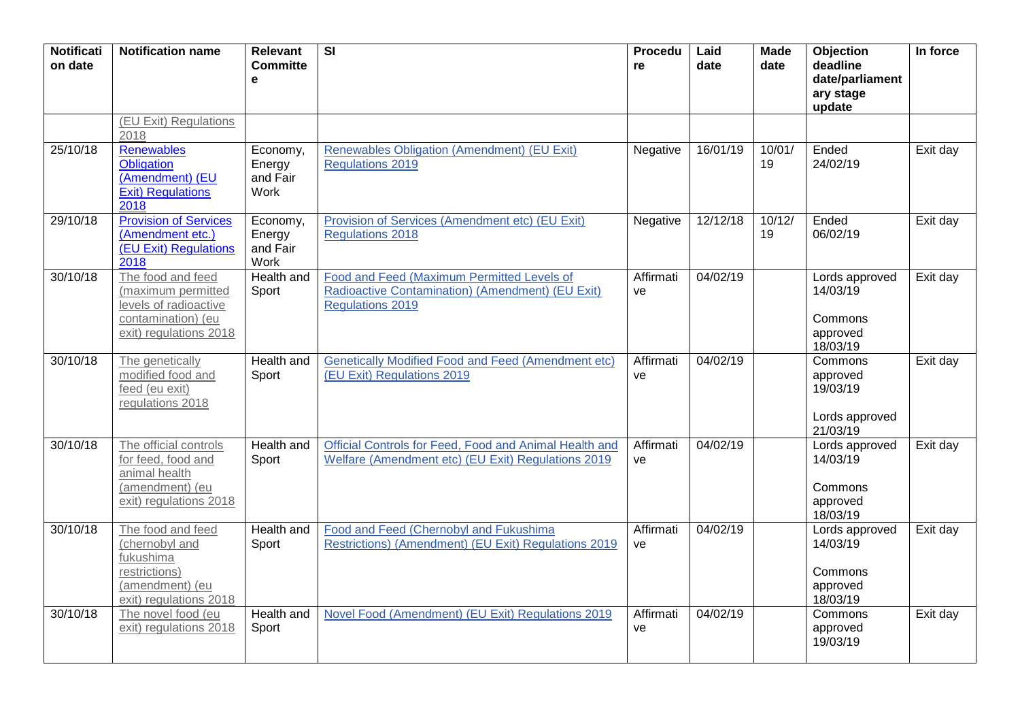| <b>Notificati</b><br>on date | <b>Notification name</b>                                                                                         | <b>Relevant</b><br><b>Committe</b><br>$\mathbf e$ | $\overline{\mathsf{SI}}$                                                                                                  | Procedu<br>re   | Laid<br>date | <b>Made</b><br>date | Objection<br>deadline<br>date/parliament<br>ary stage<br>update | In force |
|------------------------------|------------------------------------------------------------------------------------------------------------------|---------------------------------------------------|---------------------------------------------------------------------------------------------------------------------------|-----------------|--------------|---------------------|-----------------------------------------------------------------|----------|
|                              | (EU Exit) Regulations<br>2018                                                                                    |                                                   |                                                                                                                           |                 |              |                     |                                                                 |          |
| 25/10/18                     | <b>Renewables</b><br>Obligation<br>(Amendment) (EU<br><b>Exit) Regulations</b><br>2018                           | Economy,<br>Energy<br>and Fair<br>Work            | <b>Renewables Obligation (Amendment) (EU Exit)</b><br><b>Regulations 2019</b>                                             | Negative        | 16/01/19     | 10/01/<br>19        | Ended<br>24/02/19                                               | Exit day |
| 29/10/18                     | <b>Provision of Services</b><br>(Amendment etc.)<br>(EU Exit) Regulations<br>2018                                | Economy,<br>Energy<br>and Fair<br>Work            | Provision of Services (Amendment etc) (EU Exit)<br><b>Regulations 2018</b>                                                | Negative        | 12/12/18     | 10/12/<br>19        | Ended<br>06/02/19                                               | Exit day |
| 30/10/18                     | The food and feed<br>(maximum permitted<br>levels of radioactive<br>contamination) (eu<br>exit) regulations 2018 | Health and<br>Sport                               | Food and Feed (Maximum Permitted Levels of<br>Radioactive Contamination) (Amendment) (EU Exit)<br><b>Regulations 2019</b> | Affirmati<br>ve | 04/02/19     |                     | Lords approved<br>14/03/19<br>Commons<br>approved<br>18/03/19   | Exit day |
| 30/10/18                     | The genetically<br>modified food and<br>feed (eu exit)<br>regulations 2018                                       | Health and<br>Sport                               | <b>Genetically Modified Food and Feed (Amendment etc)</b><br>(EU Exit) Regulations 2019                                   | Affirmati<br>ve | 04/02/19     |                     | Commons<br>approved<br>19/03/19<br>Lords approved<br>21/03/19   | Exit day |
| 30/10/18                     | The official controls<br>for feed, food and<br>animal health<br>(amendment) (eu<br>exit) regulations 2018        | <b>Health and</b><br>Sport                        | Official Controls for Feed, Food and Animal Health and<br>Welfare (Amendment etc) (EU Exit) Regulations 2019              | Affirmati<br>ve | 04/02/19     |                     | Lords approved<br>14/03/19<br>Commons<br>approved<br>18/03/19   | Exit day |
| 30/10/18                     | The food and feed<br>(chernobyl and<br>fukushima<br>restrictions)<br>(amendment) (eu<br>exit) regulations 2018   | Health and<br>Sport                               | Food and Feed (Chernobyl and Fukushima<br>Restrictions) (Amendment) (EU Exit) Regulations 2019                            | Affirmati<br>ve | 04/02/19     |                     | Lords approved<br>14/03/19<br>Commons<br>approved<br>18/03/19   | Exit day |
| 30/10/18                     | The novel food (eu<br>exit) regulations 2018                                                                     | Health and<br>Sport                               | Novel Food (Amendment) (EU Exit) Regulations 2019                                                                         | Affirmati<br>ve | 04/02/19     |                     | Commons<br>approved<br>19/03/19                                 | Exit day |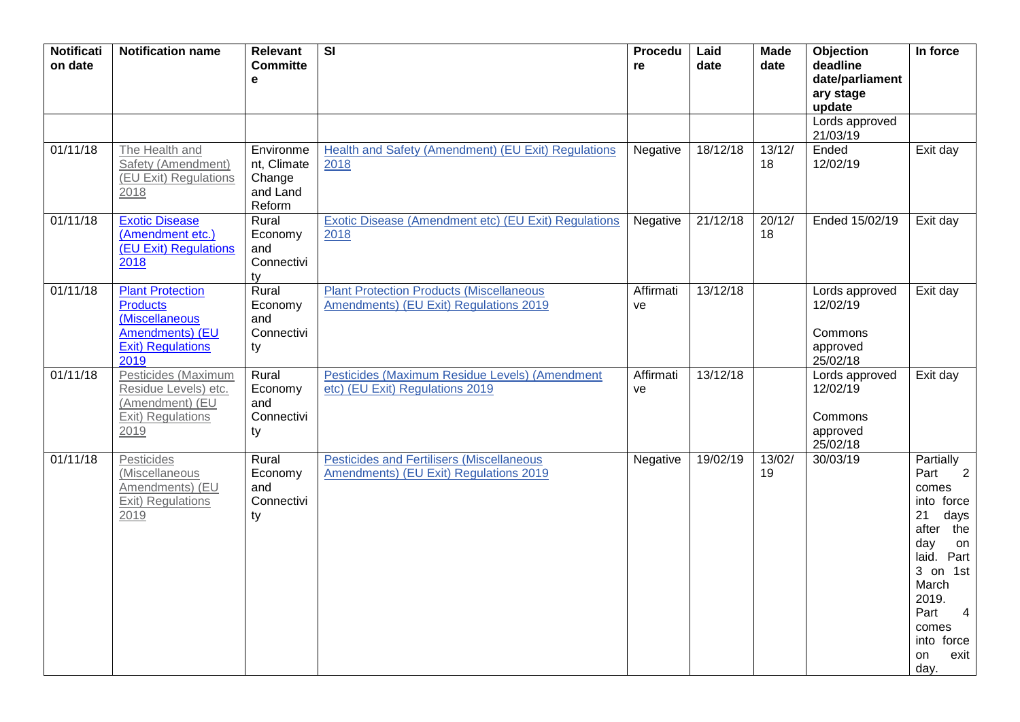| <b>Notificati</b><br>on date | <b>Notification name</b>                                                                                            | <b>Relevant</b><br><b>Committe</b><br>e                  | $\overline{\mathbf{S}}$                                                                    | Procedu<br>re   | Laid<br>date | <b>Made</b><br>date | Objection<br>deadline<br>date/parliament<br>ary stage<br>update | In force                                                                                                                                                                                                                          |
|------------------------------|---------------------------------------------------------------------------------------------------------------------|----------------------------------------------------------|--------------------------------------------------------------------------------------------|-----------------|--------------|---------------------|-----------------------------------------------------------------|-----------------------------------------------------------------------------------------------------------------------------------------------------------------------------------------------------------------------------------|
|                              |                                                                                                                     |                                                          |                                                                                            |                 |              |                     | Lords approved<br>21/03/19                                      |                                                                                                                                                                                                                                   |
| 01/11/18                     | The Health and<br>Safety (Amendment)<br>(EU Exit) Regulations<br>2018                                               | Environme<br>nt, Climate<br>Change<br>and Land<br>Reform | <b>Health and Safety (Amendment) (EU Exit) Regulations</b><br>2018                         | Negative        | 18/12/18     | 13/12/<br>18        | Ended<br>12/02/19                                               | Exit day                                                                                                                                                                                                                          |
| 01/11/18                     | <b>Exotic Disease</b><br>(Amendment etc.)<br><b>(EU Exit) Regulations</b><br>2018                                   | Rural<br>Economy<br>and<br>Connectivi<br>ty              | Exotic Disease (Amendment etc) (EU Exit) Regulations<br>2018                               | Negative        | 21/12/18     | 20/12/<br>18        | Ended 15/02/19                                                  | Exit day                                                                                                                                                                                                                          |
| 01/11/18                     | <b>Plant Protection</b><br><b>Products</b><br>(Miscellaneous<br>Amendments) (EU<br><b>Exit) Regulations</b><br>2019 | Rural<br>Economy<br>and<br>Connectivi<br>ty              | <b>Plant Protection Products (Miscellaneous</b><br>Amendments) (EU Exit) Regulations 2019  | Affirmati<br>ve | 13/12/18     |                     | Lords approved<br>12/02/19<br>Commons<br>approved<br>25/02/18   | Exit day                                                                                                                                                                                                                          |
| 01/11/18                     | Pesticides (Maximum<br>Residue Levels) etc.<br>(Amendment) (EU<br>Exit) Regulations<br>2019                         | Rural<br>Economy<br>and<br>Connectivi<br>ty              | Pesticides (Maximum Residue Levels) (Amendment<br>etc) (EU Exit) Regulations 2019          | Affirmati<br>ve | 13/12/18     |                     | Lords approved<br>12/02/19<br>Commons<br>approved<br>25/02/18   | Exit day                                                                                                                                                                                                                          |
| 01/11/18                     | Pesticides<br>(Miscellaneous<br>Amendments) (EU<br>Exit) Regulations<br>2019                                        | Rural<br>Economy<br>and<br>Connectivi<br>ty              | <b>Pesticides and Fertilisers (Miscellaneous</b><br>Amendments) (EU Exit) Regulations 2019 | Negative        | 19/02/19     | 13/02/<br>19        | 30/03/19                                                        | Partially<br>$\overline{\phantom{0}}$ 2<br>Part<br>comes<br>into force<br>21<br>days<br>after the<br>day<br>on<br>laid. Part<br>3 on 1st<br>March<br>2019.<br>Part<br>$\overline{4}$<br>comes<br>into force<br>exit<br>on<br>day. |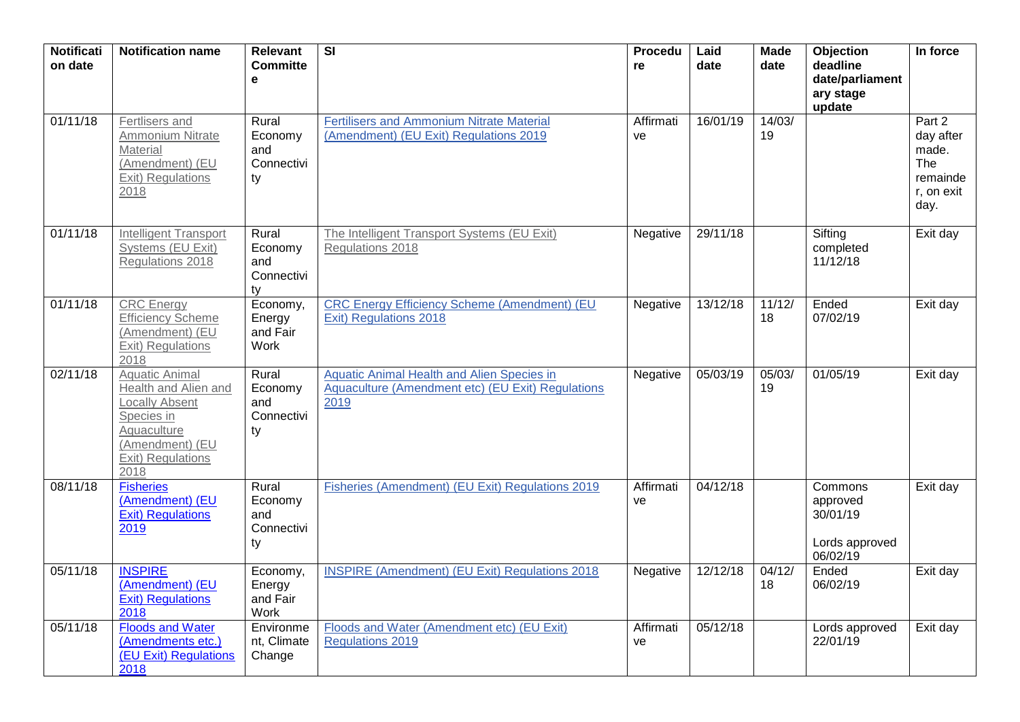| <b>Notificati</b><br>on date | <b>Notification name</b>                                                                                                                            | <b>Relevant</b><br><b>Committe</b><br>e     | $\overline{\mathbf{S}}$                                                                                 | <b>Procedu</b><br>re | Laid<br>date | <b>Made</b><br>date | Objection<br>deadline<br>date/parliament<br>ary stage<br>update | In force                                                              |
|------------------------------|-----------------------------------------------------------------------------------------------------------------------------------------------------|---------------------------------------------|---------------------------------------------------------------------------------------------------------|----------------------|--------------|---------------------|-----------------------------------------------------------------|-----------------------------------------------------------------------|
| 01/11/18                     | Fertlisers and<br>Ammonium Nitrate<br>Material<br>(Amendment) (EU<br>Exit) Regulations<br>2018                                                      | Rural<br>Economy<br>and<br>Connectivi<br>ty | <b>Fertilisers and Ammonium Nitrate Material</b><br>(Amendment) (EU Exit) Regulations 2019              | Affirmati<br>ve      | 16/01/19     | 14/03/<br>19        |                                                                 | Part 2<br>day after<br>made.<br>The<br>remainde<br>r, on exit<br>day. |
| 01/11/18                     | <b>Intelligent Transport</b><br>Systems (EU Exit)<br>Regulations 2018                                                                               | Rural<br>Economy<br>and<br>Connectivi<br>ty | The Intelligent Transport Systems (EU Exit)<br>Regulations 2018                                         | Negative             | 29/11/18     |                     | Sifting<br>completed<br>11/12/18                                | Exit day                                                              |
| 01/11/18                     | <b>CRC</b> Energy<br><b>Efficiency Scheme</b><br>(Amendment) (EU<br><b>Exit) Regulations</b><br>2018                                                | Economy,<br>Energy<br>and Fair<br>Work      | <b>CRC Energy Efficiency Scheme (Amendment) (EU</b><br>Exit) Regulations 2018                           | Negative             | 13/12/18     | 11/12/<br>18        | Ended<br>07/02/19                                               | Exit day                                                              |
| 02/11/18                     | <b>Aquatic Animal</b><br>Health and Alien and<br><b>Locally Absent</b><br>Species in<br>Aquaculture<br>(Amendment) (EU<br>Exit) Regulations<br>2018 | Rural<br>Economy<br>and<br>Connectivi<br>ty | Aquatic Animal Health and Alien Species in<br>Aquaculture (Amendment etc) (EU Exit) Regulations<br>2019 | Negative             | 05/03/19     | 05/03/<br>19        | 01/05/19                                                        | Exit day                                                              |
| 08/11/18                     | <b>Fisheries</b><br>(Amendment) (EU<br>Exit) Regulations<br>2019                                                                                    | Rural<br>Economy<br>and<br>Connectivi<br>ty | Fisheries (Amendment) (EU Exit) Regulations 2019                                                        | Affirmati<br>ve      | 04/12/18     |                     | Commons<br>approved<br>30/01/19<br>Lords approved<br>06/02/19   | Exit day                                                              |
| 05/11/18                     | <b>INSPIRE</b><br>(Amendment) (EU<br>Exit) Regulations<br>2018                                                                                      | Economy,<br>Energy<br>and Fair<br>Work      | <b>INSPIRE (Amendment) (EU Exit) Regulations 2018</b>                                                   | Negative             | 12/12/18     | 04/12/<br>18        | Ended<br>06/02/19                                               | Exit day                                                              |
| 05/11/18                     | <b>Floods and Water</b><br>(Amendments etc.)<br>(EU Exit) Regulations<br>2018                                                                       | Environme<br>nt, Climate<br>Change          | Floods and Water (Amendment etc) (EU Exit)<br><b>Regulations 2019</b>                                   | Affirmati<br>ve      | 05/12/18     |                     | Lords approved<br>22/01/19                                      | Exit day                                                              |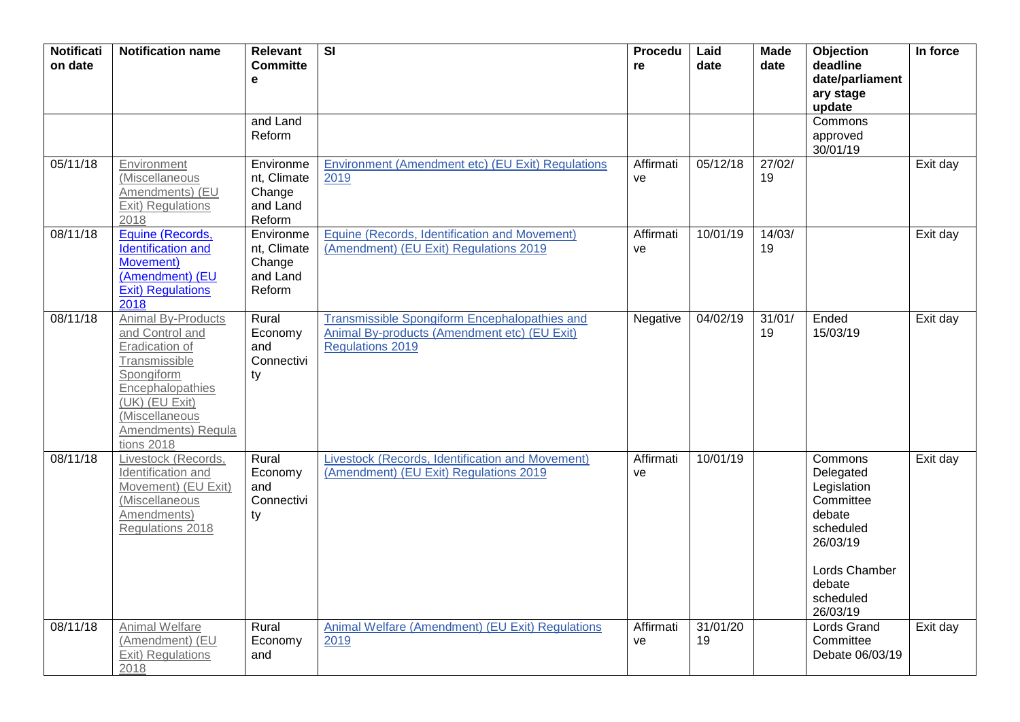| <b>Notificati</b><br>on date | <b>Notification name</b>                                                                                                                                                           | <b>Relevant</b><br><b>Committe</b><br>$\mathbf e$        | $\overline{\mathbf{S}}$                                                                                                  | Procedu<br>re   | Laid<br>date   | <b>Made</b><br>date | Objection<br>deadline<br>date/parliament<br>ary stage<br>update                                                                         | In force |
|------------------------------|------------------------------------------------------------------------------------------------------------------------------------------------------------------------------------|----------------------------------------------------------|--------------------------------------------------------------------------------------------------------------------------|-----------------|----------------|---------------------|-----------------------------------------------------------------------------------------------------------------------------------------|----------|
|                              |                                                                                                                                                                                    | and Land<br>Reform                                       |                                                                                                                          |                 |                |                     | Commons<br>approved<br>30/01/19                                                                                                         |          |
| 05/11/18                     | Environment<br>(Miscellaneous<br>Amendments) (EU<br>Exit) Regulations<br>2018                                                                                                      | Environme<br>nt, Climate<br>Change<br>and Land<br>Reform | Environment (Amendment etc) (EU Exit) Regulations<br>2019                                                                | Affirmati<br>ve | 05/12/18       | 27/02/<br>19        |                                                                                                                                         | Exit day |
| 08/11/18                     | Equine (Records,<br>Identification and<br>Movement)<br>(Amendment) (EU<br><b>Exit) Regulations</b><br>2018                                                                         | Environme<br>nt, Climate<br>Change<br>and Land<br>Reform | Equine (Records, Identification and Movement)<br>(Amendment) (EU Exit) Regulations 2019                                  | Affirmati<br>ve | 10/01/19       | 14/03/<br>19        |                                                                                                                                         | Exit day |
| 08/11/18                     | Animal By-Products<br>and Control and<br>Eradication of<br>Transmissible<br>Spongiform<br>Encephalopathies<br>(UK) (EU Exit)<br>(Miscellaneous<br>Amendments) Regula<br>tions 2018 | Rural<br>Economy<br>and<br>Connectivi<br>ty              | Transmissible Spongiform Encephalopathies and<br>Animal By-products (Amendment etc) (EU Exit)<br><b>Regulations 2019</b> | Negative        | 04/02/19       | 31/01/<br>19        | Ended<br>15/03/19                                                                                                                       | Exit day |
| 08/11/18                     | Livestock (Records,<br>Identification and<br>Movement) (EU Exit)<br>(Miscellaneous<br>Amendments)<br>Regulations 2018                                                              | Rural<br>Economy<br>and<br>Connectivi<br>ty              | Livestock (Records, Identification and Movement)<br>(Amendment) (EU Exit) Regulations 2019                               | Affirmati<br>ve | 10/01/19       |                     | Commons<br>Delegated<br>Legislation<br>Committee<br>debate<br>scheduled<br>26/03/19<br>Lords Chamber<br>debate<br>scheduled<br>26/03/19 | Exit day |
| 08/11/18                     | Animal Welfare<br>(Amendment) (EU<br>Exit) Regulations<br>2018                                                                                                                     | Rural<br>Economy<br>and                                  | Animal Welfare (Amendment) (EU Exit) Regulations<br>2019                                                                 | Affirmati<br>ve | 31/01/20<br>19 |                     | <b>Lords Grand</b><br>Committee<br>Debate 06/03/19                                                                                      | Exit day |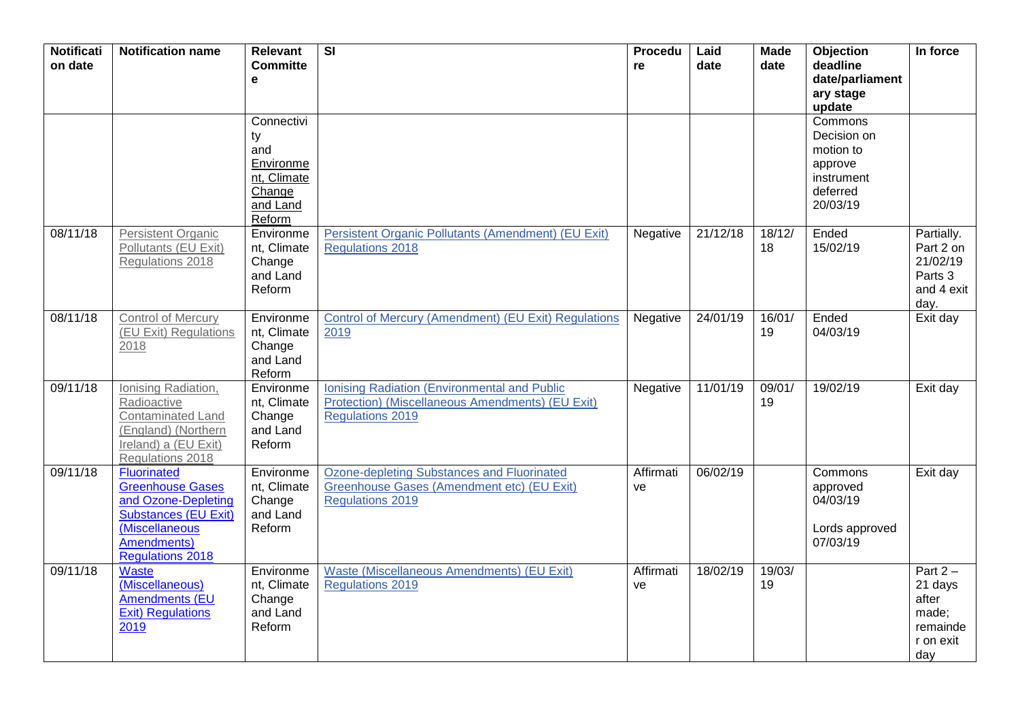| <b>Notificati</b><br>on date | <b>Notification name</b>                                                                                                                                        | <b>Relevant</b><br><b>Committe</b>                                                  | $\overline{\mathsf{SI}}$                                                                                                    | Procedu<br>re   | Laid<br>date | <b>Made</b><br>date | Objection<br>deadline                                                                | In force                                                                |
|------------------------------|-----------------------------------------------------------------------------------------------------------------------------------------------------------------|-------------------------------------------------------------------------------------|-----------------------------------------------------------------------------------------------------------------------------|-----------------|--------------|---------------------|--------------------------------------------------------------------------------------|-------------------------------------------------------------------------|
|                              |                                                                                                                                                                 | e                                                                                   |                                                                                                                             |                 |              |                     | date/parliament<br>ary stage<br>update                                               |                                                                         |
|                              |                                                                                                                                                                 | Connectivi<br>ty<br>and<br>Environme<br>nt, Climate<br>Change<br>and Land<br>Reform |                                                                                                                             |                 |              |                     | Commons<br>Decision on<br>motion to<br>approve<br>instrument<br>deferred<br>20/03/19 |                                                                         |
| 08/11/18                     | <b>Persistent Organic</b><br>Pollutants (EU Exit)<br>Regulations 2018                                                                                           | Environme<br>nt, Climate<br>Change<br>and Land<br>Reform                            | Persistent Organic Pollutants (Amendment) (EU Exit)<br><b>Regulations 2018</b>                                              | Negative        | 21/12/18     | 18/12/<br>18        | Ended<br>15/02/19                                                                    | Partially.<br>Part 2 on<br>21/02/19<br>Parts 3<br>and 4 exit<br>day.    |
| 08/11/18                     | <b>Control of Mercury</b><br>(EU Exit) Regulations<br>2018                                                                                                      | Environme<br>nt, Climate<br>Change<br>and Land<br>Reform                            | Control of Mercury (Amendment) (EU Exit) Regulations<br>2019                                                                | Negative        | 24/01/19     | 16/01/<br>19        | Ended<br>04/03/19                                                                    | Exit day                                                                |
| 09/11/18                     | Ionising Radiation,<br>Radioactive<br>Contaminated Land<br>(England) (Northern<br>Ireland) a (EU Exit)<br>Regulations 2018                                      | Environme<br>nt, Climate<br>Change<br>and Land<br>Reform                            | Ionising Radiation (Environmental and Public<br>Protection) (Miscellaneous Amendments) (EU Exit)<br><b>Regulations 2019</b> | Negative        | 11/01/19     | 09/01/<br>19        | 19/02/19                                                                             | Exit day                                                                |
| 09/11/18                     | <b>Fluorinated</b><br><b>Greenhouse Gases</b><br>and Ozone-Depleting<br><b>Substances (EU Exit)</b><br>(Miscellaneous<br>Amendments)<br><b>Regulations 2018</b> | Environme<br>nt, Climate<br>Change<br>and Land<br>Reform                            | <b>Ozone-depleting Substances and Fluorinated</b><br>Greenhouse Gases (Amendment etc) (EU Exit)<br><b>Regulations 2019</b>  | Affirmati<br>ve | 06/02/19     |                     | Commons<br>approved<br>04/03/19<br>Lords approved<br>07/03/19                        | Exit day                                                                |
| 09/11/18                     | Waste<br>(Miscellaneous)<br><b>Amendments (EU</b><br><b>Exit) Regulations</b><br>2019                                                                           | Environme<br>nt, Climate<br>Change<br>and Land<br>Reform                            | <b>Waste (Miscellaneous Amendments) (EU Exit)</b><br><b>Regulations 2019</b>                                                | Affirmati<br>ve | 18/02/19     | 19/03/<br>19        |                                                                                      | Part $2 -$<br>21 days<br>after<br>made;<br>remainde<br>r on exit<br>day |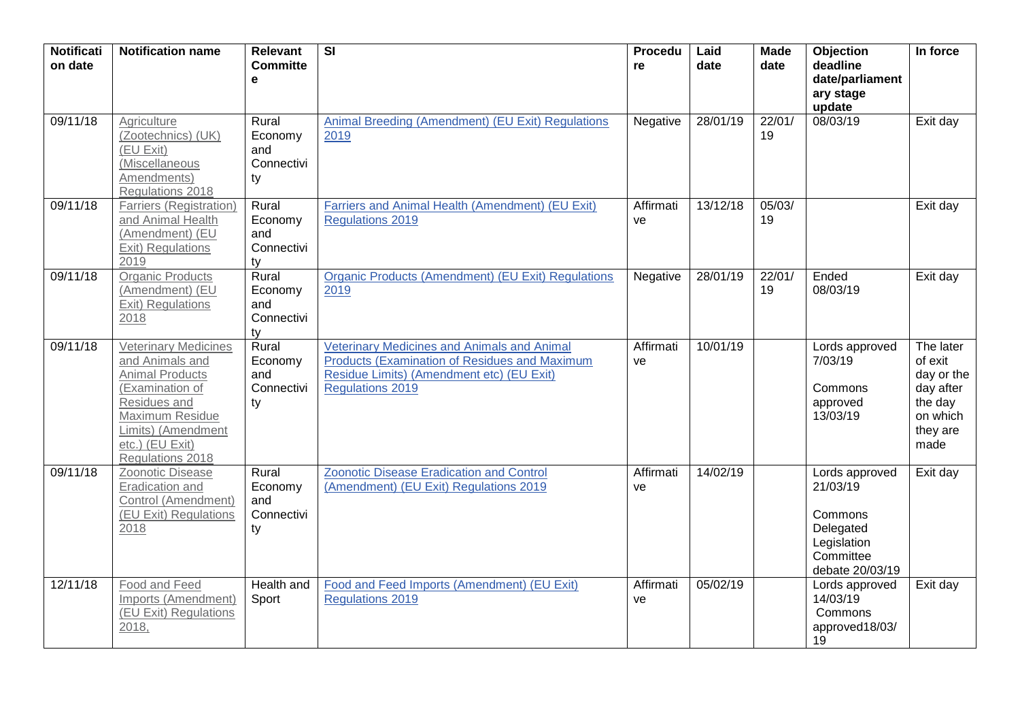| <b>Notificati</b><br>on date | <b>Notification name</b>                                                                                                                                                                    | <b>Relevant</b><br><b>Committe</b><br>e     | $\overline{\mathbf{s}}$                                                                                                                                                     | Procedu<br>re   | Laid<br>date | <b>Made</b><br>date | Objection<br>deadline<br>date/parliament<br>ary stage<br>update                                   | In force                                                                                   |
|------------------------------|---------------------------------------------------------------------------------------------------------------------------------------------------------------------------------------------|---------------------------------------------|-----------------------------------------------------------------------------------------------------------------------------------------------------------------------------|-----------------|--------------|---------------------|---------------------------------------------------------------------------------------------------|--------------------------------------------------------------------------------------------|
| 09/11/18                     | Agriculture<br>(Zootechnics) (UK)<br>(EU Exit)<br>(Miscellaneous<br>Amendments)<br>Regulations 2018                                                                                         | Rural<br>Economy<br>and<br>Connectivi<br>ty | Animal Breeding (Amendment) (EU Exit) Regulations<br>2019                                                                                                                   | Negative        | 28/01/19     | 22/01/<br>19        | 08/03/19                                                                                          | Exit day                                                                                   |
| 09/11/18                     | <b>Farriers (Registration)</b><br>and Animal Health<br>(Amendment) (EU<br>Exit) Regulations<br>2019                                                                                         | Rural<br>Economy<br>and<br>Connectivi<br>ty | Farriers and Animal Health (Amendment) (EU Exit)<br><b>Regulations 2019</b>                                                                                                 | Affirmati<br>ve | 13/12/18     | 05/03/<br>19        |                                                                                                   | Exit day                                                                                   |
| 09/11/18                     | <b>Organic Products</b><br>(Amendment) (EU<br>Exit) Regulations<br>2018                                                                                                                     | Rural<br>Economy<br>and<br>Connectivi<br>ty | <b>Organic Products (Amendment) (EU Exit) Regulations</b><br>2019                                                                                                           | Negative        | 28/01/19     | 22/01/<br>19        | Ended<br>08/03/19                                                                                 | Exit day                                                                                   |
| 09/11/18                     | <b>Veterinary Medicines</b><br>and Animals and<br><b>Animal Products</b><br>(Examination of<br>Residues and<br>Maximum Residue<br>Limits) (Amendment<br>etc.) (EU Exit)<br>Regulations 2018 | Rural<br>Economy<br>and<br>Connectivi<br>ty | Veterinary Medicines and Animals and Animal<br><b>Products (Examination of Residues and Maximum</b><br>Residue Limits) (Amendment etc) (EU Exit)<br><b>Regulations 2019</b> | Affirmati<br>ve | 10/01/19     |                     | Lords approved<br>7/03/19<br>Commons<br>approved<br>13/03/19                                      | The later<br>of exit<br>day or the<br>day after<br>the day<br>on which<br>they are<br>made |
| 09/11/18                     | Zoonotic Disease<br>Eradication and<br>Control (Amendment)<br>(EU Exit) Regulations<br>2018                                                                                                 | Rural<br>Economy<br>and<br>Connectivi<br>ty | <b>Zoonotic Disease Eradication and Control</b><br>(Amendment) (EU Exit) Regulations 2019                                                                                   | Affirmati<br>ve | 14/02/19     |                     | Lords approved<br>21/03/19<br>Commons<br>Delegated<br>Legislation<br>Committee<br>debate 20/03/19 | Exit day                                                                                   |
| 12/11/18                     | Food and Feed<br>Imports (Amendment)<br>(EU Exit) Regulations<br>2018,                                                                                                                      | Health and<br>Sport                         | Food and Feed Imports (Amendment) (EU Exit)<br><b>Regulations 2019</b>                                                                                                      | Affirmati<br>ve | 05/02/19     |                     | Lords approved<br>14/03/19<br>Commons<br>approved18/03/<br>19                                     | Exit day                                                                                   |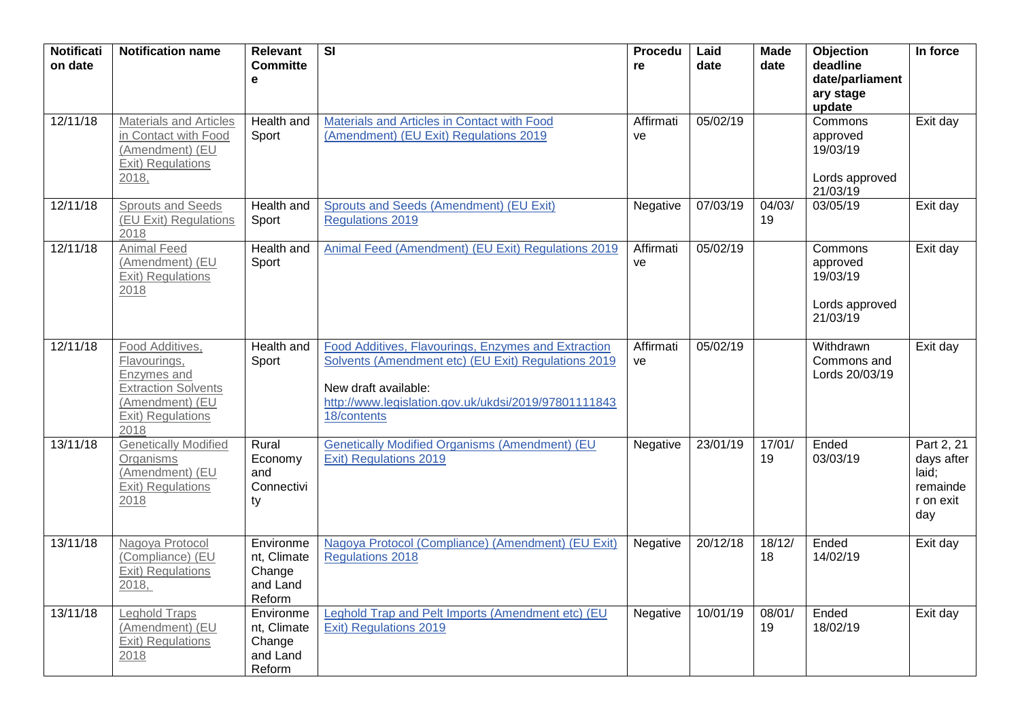| <b>Notificati</b><br>on date | <b>Notification name</b>                                                                                                     | <b>Relevant</b><br><b>Committe</b><br>е                  | SI                                                                                                                                                                                                        | Procedu<br>re   | Laid<br>date | <b>Made</b><br>date | Objection<br>deadline<br>date/parliament<br>ary stage<br>update | In force                                                          |
|------------------------------|------------------------------------------------------------------------------------------------------------------------------|----------------------------------------------------------|-----------------------------------------------------------------------------------------------------------------------------------------------------------------------------------------------------------|-----------------|--------------|---------------------|-----------------------------------------------------------------|-------------------------------------------------------------------|
| 12/11/18                     | <b>Materials and Articles</b><br>in Contact with Food<br>(Amendment) (EU<br>Exit) Regulations<br>2018,                       | Health and<br>Sport                                      | Materials and Articles in Contact with Food<br>(Amendment) (EU Exit) Regulations 2019                                                                                                                     | Affirmati<br>ve | 05/02/19     |                     | Commons<br>approved<br>19/03/19<br>Lords approved<br>21/03/19   | Exit day                                                          |
| 12/11/18                     | <b>Sprouts and Seeds</b><br>(EU Exit) Regulations<br>2018                                                                    | Health and<br>Sport                                      | Sprouts and Seeds (Amendment) (EU Exit)<br><b>Regulations 2019</b>                                                                                                                                        | Negative        | 07/03/19     | 04/03/<br>19        | 03/05/19                                                        | Exit day                                                          |
| 12/11/18                     | <b>Animal Feed</b><br>(Amendment) (EU<br>Exit) Regulations<br>2018                                                           | Health and<br>Sport                                      | Animal Feed (Amendment) (EU Exit) Regulations 2019                                                                                                                                                        | Affirmati<br>ve | 05/02/19     |                     | Commons<br>approved<br>19/03/19<br>Lords approved<br>21/03/19   | Exit day                                                          |
| 12/11/18                     | Food Additives,<br>Flavourings,<br>Enzymes and<br><b>Extraction Solvents</b><br>(Amendment) (EU<br>Exit) Regulations<br>2018 | Health and<br>Sport                                      | Food Additives, Flavourings, Enzymes and Extraction<br>Solvents (Amendment etc) (EU Exit) Regulations 2019<br>New draft available:<br>http://www.legislation.gov.uk/ukdsi/2019/97801111843<br>18/contents | Affirmati<br>ve | 05/02/19     |                     | Withdrawn<br>Commons and<br>Lords 20/03/19                      | Exit day                                                          |
| 13/11/18                     | <b>Genetically Modified</b><br>Organisms<br>(Amendment) (EU<br>Exit) Regulations<br>2018                                     | Rural<br>Economy<br>and<br>Connectivi<br>ty              | <b>Genetically Modified Organisms (Amendment) (EU</b><br><b>Exit) Regulations 2019</b>                                                                                                                    | Negative        | 23/01/19     | 17/01/<br>19        | Ended<br>03/03/19                                               | Part 2, 21<br>days after<br>laid;<br>remainde<br>r on exit<br>day |
| 13/11/18                     | Nagoya Protocol<br>(Compliance) (EU<br>Exit) Regulations<br>2018,                                                            | Environme<br>nt, Climate<br>Change<br>and Land<br>Reform | Nagoya Protocol (Compliance) (Amendment) (EU Exit)<br><b>Regulations 2018</b>                                                                                                                             | Negative        | 20/12/18     | 18/12/<br>18        | Ended<br>14/02/19                                               | Exit day                                                          |
| 13/11/18                     | Leghold Traps<br>(Amendment) (EU<br>Exit) Regulations<br>2018                                                                | Environme<br>nt, Climate<br>Change<br>and Land<br>Reform | Leghold Trap and Pelt Imports (Amendment etc) (EU<br>Exit) Regulations 2019                                                                                                                               | Negative        | 10/01/19     | 08/01/<br>19        | Ended<br>18/02/19                                               | Exit day                                                          |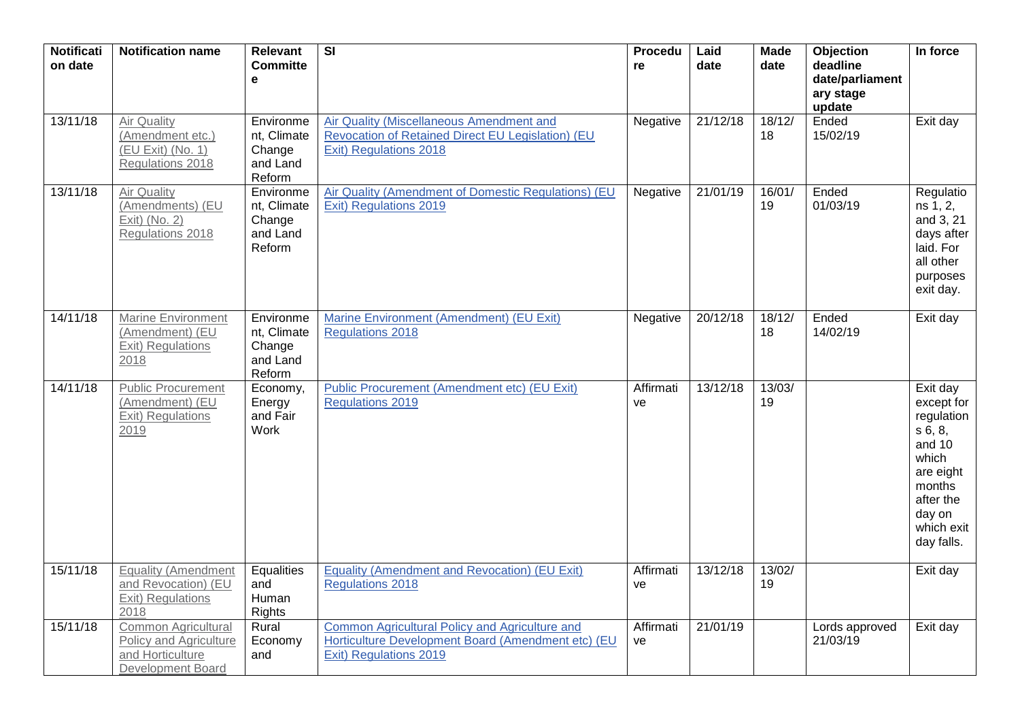| <b>Notificati</b><br>on date | <b>Notification name</b>                                                                      | Relevant<br><b>Committe</b><br>$\mathbf e$               | $\overline{\mathbf{S}}$                                                                                                               | Procedu<br>re   | Laid<br>date | <b>Made</b><br>date | Objection<br>deadline<br>date/parliament<br>ary stage<br>update | In force                                                                                                                                     |
|------------------------------|-----------------------------------------------------------------------------------------------|----------------------------------------------------------|---------------------------------------------------------------------------------------------------------------------------------------|-----------------|--------------|---------------------|-----------------------------------------------------------------|----------------------------------------------------------------------------------------------------------------------------------------------|
| 13/11/18                     | Air Quality<br>(Amendment etc.)<br>$(EU)$ Exit) (No. 1)<br>Regulations 2018                   | Environme<br>nt, Climate<br>Change<br>and Land<br>Reform | Air Quality (Miscellaneous Amendment and<br>Revocation of Retained Direct EU Legislation) (EU<br>Exit) Regulations 2018               | Negative        | 21/12/18     | 18/12/<br>18        | Ended<br>15/02/19                                               | Exit day                                                                                                                                     |
| 13/11/18                     | Air Quality<br>(Amendments) (EU<br>Exit) (No. 2)<br>Regulations 2018                          | Environme<br>nt, Climate<br>Change<br>and Land<br>Reform | Air Quality (Amendment of Domestic Regulations) (EU<br>Exit) Regulations 2019                                                         | Negative        | 21/01/19     | 16/01/<br>19        | Ended<br>01/03/19                                               | Regulatio<br>ns 1, 2,<br>and 3, 21<br>days after<br>laid. For<br>all other<br>purposes<br>exit day.                                          |
| 14/11/18                     | <b>Marine Environment</b><br>(Amendment) (EU<br><b>Exit) Regulations</b><br>2018              | Environme<br>nt, Climate<br>Change<br>and Land<br>Reform | Marine Environment (Amendment) (EU Exit)<br><b>Regulations 2018</b>                                                                   | Negative        | 20/12/18     | 18/12/<br>18        | Ended<br>14/02/19                                               | Exit day                                                                                                                                     |
| 14/11/18                     | <b>Public Procurement</b><br>(Amendment) (EU<br>Exit) Regulations<br>2019                     | Economy,<br>Energy<br>and Fair<br>Work                   | Public Procurement (Amendment etc) (EU Exit)<br><b>Regulations 2019</b>                                                               | Affirmati<br>ve | 13/12/18     | 13/03/<br>19        |                                                                 | Exit day<br>except for<br>regulation<br>s 6, 8,<br>and 10<br>which<br>are eight<br>months<br>after the<br>day on<br>which exit<br>day falls. |
| 15/11/18                     | <b>Equality (Amendment</b><br>and Revocation) (EU<br>Exit) Regulations<br>2018                | Equalities<br>and<br>Human<br><b>Rights</b>              | <b>Equality (Amendment and Revocation) (EU Exit)</b><br><b>Regulations 2018</b>                                                       | Affirmati<br>ve | 13/12/18     | 13/02/<br>19        |                                                                 | Exit day                                                                                                                                     |
| 15/11/18                     | Common Agricultural<br><b>Policy and Agriculture</b><br>and Horticulture<br>Development Board | Rural<br>Economy<br>and                                  | Common Agricultural Policy and Agriculture and<br>Horticulture Development Board (Amendment etc) (EU<br><b>Exit) Regulations 2019</b> | Affirmati<br>ve | 21/01/19     |                     | Lords approved<br>21/03/19                                      | Exit day                                                                                                                                     |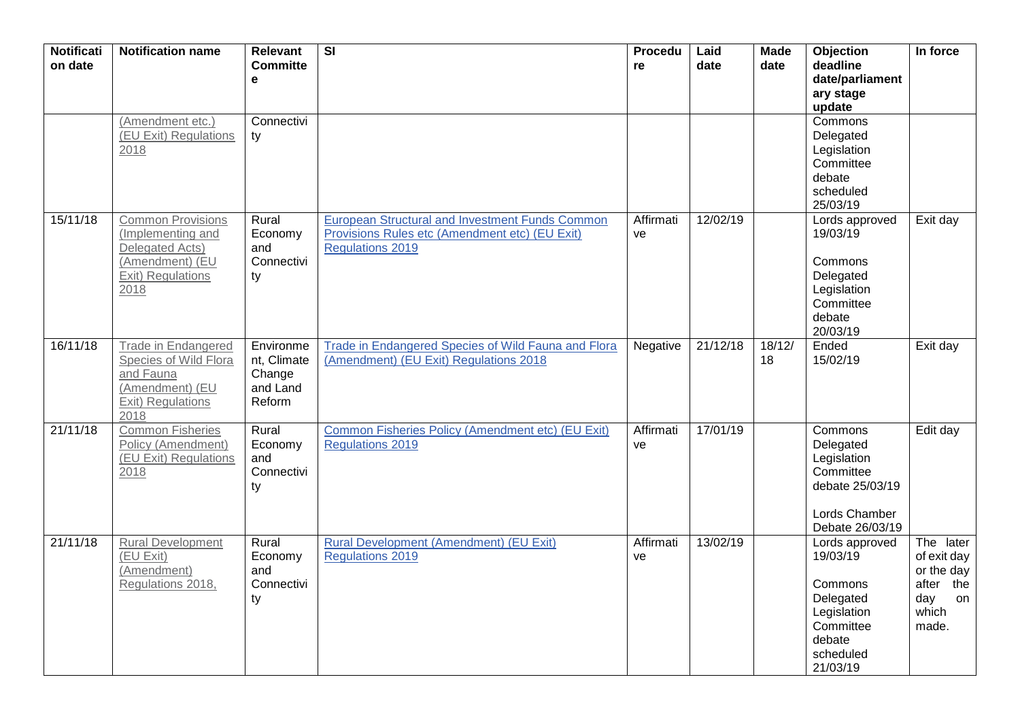| <b>Notificati</b><br>on date | <b>Notification name</b>                                                                                         | <b>Relevant</b><br><b>Committe</b><br>$\mathbf e$        | $\overline{\mathsf{SI}}$                                                                                                            | Procedu<br>re   | Laid<br>date | <b>Made</b><br>date | Objection<br>deadline<br>date/parliament<br>ary stage<br>update                                                   | In force                                                                           |
|------------------------------|------------------------------------------------------------------------------------------------------------------|----------------------------------------------------------|-------------------------------------------------------------------------------------------------------------------------------------|-----------------|--------------|---------------------|-------------------------------------------------------------------------------------------------------------------|------------------------------------------------------------------------------------|
|                              | (Amendment etc.)<br>(EU Exit) Regulations<br>2018                                                                | Connectivi<br>ty                                         |                                                                                                                                     |                 |              |                     | Commons<br>Delegated<br>Legislation<br>Committee<br>debate<br>scheduled<br>25/03/19                               |                                                                                    |
| 15/11/18                     | <b>Common Provisions</b><br>(Implementing and<br>Delegated Acts)<br>(Amendment) (EU<br>Exit) Regulations<br>2018 | Rural<br>Economy<br>and<br>Connectivi<br>ty              | <b>European Structural and Investment Funds Common</b><br>Provisions Rules etc (Amendment etc) (EU Exit)<br><b>Regulations 2019</b> | Affirmati<br>ve | 12/02/19     |                     | Lords approved<br>19/03/19<br>Commons<br>Delegated<br>Legislation<br>Committee<br>debate<br>20/03/19              | Exit day                                                                           |
| 16/11/18                     | <b>Trade in Endangered</b><br>Species of Wild Flora<br>and Fauna<br>(Amendment) (EU<br>Exit) Regulations<br>2018 | Environme<br>nt, Climate<br>Change<br>and Land<br>Reform | Trade in Endangered Species of Wild Fauna and Flora<br>(Amendment) (EU Exit) Regulations 2018                                       | Negative        | 21/12/18     | 18/12/<br>18        | Ended<br>15/02/19                                                                                                 | Exit day                                                                           |
| 21/11/18                     | <b>Common Fisheries</b><br>Policy (Amendment)<br>(EU Exit) Regulations<br>2018                                   | Rural<br>Economy<br>and<br>Connectivi<br>ty              | Common Fisheries Policy (Amendment etc) (EU Exit)<br><b>Regulations 2019</b>                                                        | Affirmati<br>ve | 17/01/19     |                     | Commons<br>Delegated<br>Legislation<br>Committee<br>debate 25/03/19<br>Lords Chamber<br>Debate 26/03/19           | Edit day                                                                           |
| 21/11/18                     | <b>Rural Development</b><br>(EU Exit)<br>(Amendment)<br>Regulations 2018,                                        | Rural<br>Economy<br>and<br>Connectivi<br>ty              | Rural Development (Amendment) (EU Exit)<br><b>Regulations 2019</b>                                                                  | Affirmati<br>ve | 13/02/19     |                     | Lords approved<br>19/03/19<br>Commons<br>Delegated<br>Legislation<br>Committee<br>debate<br>scheduled<br>21/03/19 | The later<br>of exit day<br>or the day<br>after the<br>day<br>on<br>which<br>made. |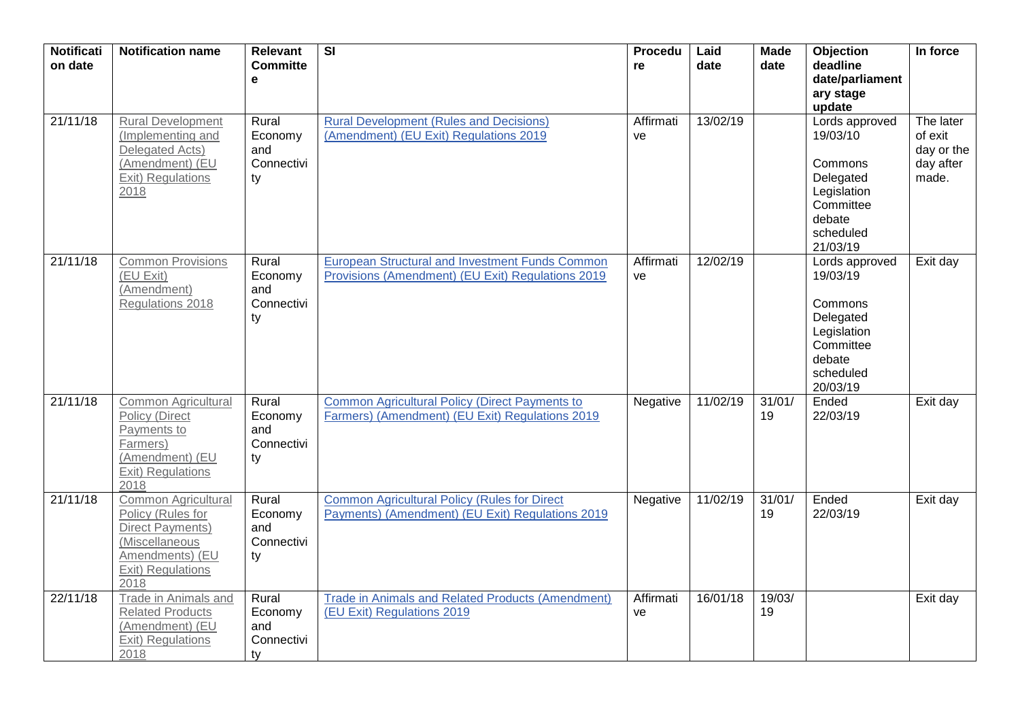| <b>Notificati</b><br>on date | <b>Notification name</b>                                                                                                              | <b>Relevant</b><br><b>Committe</b><br>e     | $\overline{\mathsf{SI}}$                                                                                    | Procedu<br>re   | Laid<br>date | <b>Made</b><br>date | Objection<br>deadline<br>date/parliament<br>ary stage<br>update                                                   | In force                                                 |
|------------------------------|---------------------------------------------------------------------------------------------------------------------------------------|---------------------------------------------|-------------------------------------------------------------------------------------------------------------|-----------------|--------------|---------------------|-------------------------------------------------------------------------------------------------------------------|----------------------------------------------------------|
| 21/11/18                     | <b>Rural Development</b><br>(Implementing and<br>Delegated Acts)<br>(Amendment) (EU<br>Exit) Regulations<br>2018                      | Rural<br>Economy<br>and<br>Connectivi<br>ty | <b>Rural Development (Rules and Decisions)</b><br>(Amendment) (EU Exit) Regulations 2019                    | Affirmati<br>ve | 13/02/19     |                     | Lords approved<br>19/03/10<br>Commons<br>Delegated<br>Legislation<br>Committee<br>debate<br>scheduled<br>21/03/19 | The later<br>of exit<br>day or the<br>day after<br>made. |
| 21/11/18                     | <b>Common Provisions</b><br>(EU Exit)<br>(Amendment)<br>Regulations 2018                                                              | Rural<br>Economy<br>and<br>Connectivi<br>ty | <b>European Structural and Investment Funds Common</b><br>Provisions (Amendment) (EU Exit) Regulations 2019 | Affirmati<br>ve | 12/02/19     |                     | Lords approved<br>19/03/19<br>Commons<br>Delegated<br>Legislation<br>Committee<br>debate<br>scheduled<br>20/03/19 | Exit day                                                 |
| 21/11/18                     | Common Agricultural<br><b>Policy (Direct</b><br>Payments to<br>Farmers)<br>(Amendment) (EU<br><b>Exit)</b> Regulations<br>2018        | Rural<br>Economy<br>and<br>Connectivi<br>ty | <b>Common Agricultural Policy (Direct Payments to</b><br>Farmers) (Amendment) (EU Exit) Regulations 2019    | Negative        | 11/02/19     | 31/01/<br>19        | Ended<br>22/03/19                                                                                                 | Exit day                                                 |
| 21/11/18                     | Common Agricultural<br>Policy (Rules for<br><b>Direct Payments)</b><br>(Miscellaneous<br>Amendments) (EU<br>Exit) Regulations<br>2018 | Rural<br>Economy<br>and<br>Connectivi<br>ty | <b>Common Agricultural Policy (Rules for Direct</b><br>Payments) (Amendment) (EU Exit) Regulations 2019     | Negative        | 11/02/19     | 31/01/<br>19        | Ended<br>22/03/19                                                                                                 | Exit day                                                 |
| 22/11/18                     | Trade in Animals and<br><b>Related Products</b><br>(Amendment) (EU<br><b>Exit) Regulations</b><br>2018                                | Rural<br>Economy<br>and<br>Connectivi<br>ty | <b>Trade in Animals and Related Products (Amendment)</b><br>(EU Exit) Regulations 2019                      | Affirmati<br>ve | 16/01/18     | 19/03/<br>19        |                                                                                                                   | Exit day                                                 |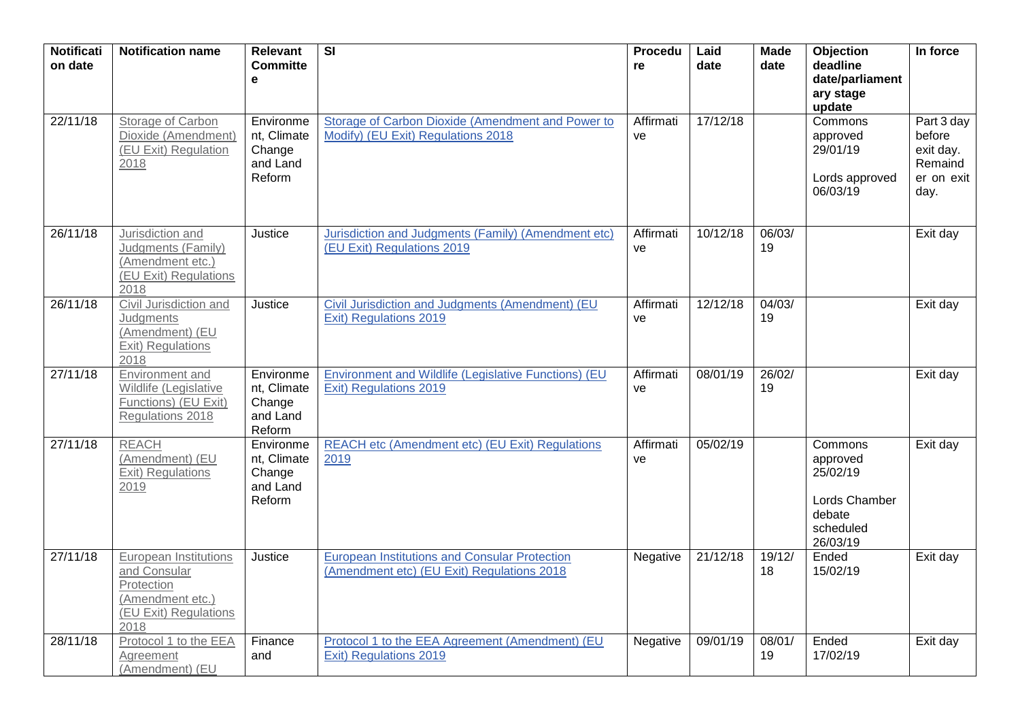| <b>Notificati</b><br>on date | <b>Notification name</b>                                                                                 | <b>Relevant</b><br><b>Committe</b><br>e                  | $\overline{\mathbf{S}}$                                                                            | <b>Procedu</b><br>re | Laid<br>date | <b>Made</b><br>date | Objection<br>deadline<br>date/parliament<br>ary stage<br>update                     | In force                                                           |
|------------------------------|----------------------------------------------------------------------------------------------------------|----------------------------------------------------------|----------------------------------------------------------------------------------------------------|----------------------|--------------|---------------------|-------------------------------------------------------------------------------------|--------------------------------------------------------------------|
| 22/11/18                     | Storage of Carbon<br>Dioxide (Amendment)<br>(EU Exit) Regulation<br>2018                                 | Environme<br>nt, Climate<br>Change<br>and Land<br>Reform | <b>Storage of Carbon Dioxide (Amendment and Power to</b><br>Modify) (EU Exit) Regulations 2018     | Affirmati<br>ve      | 17/12/18     |                     | Commons<br>approved<br>29/01/19<br>Lords approved<br>06/03/19                       | Part 3 day<br>before<br>exit day.<br>Remaind<br>er on exit<br>day. |
| 26/11/18                     | Jurisdiction and<br>Judgments (Family)<br>(Amendment etc.)<br>(EU Exit) Regulations<br>2018              | Justice                                                  | Jurisdiction and Judgments (Family) (Amendment etc)<br>(EU Exit) Regulations 2019                  | Affirmati<br>ve      | 10/12/18     | 06/03/<br>19        |                                                                                     | Exit day                                                           |
| 26/11/18                     | Civil Jurisdiction and<br>Judgments<br>(Amendment) (EU<br><b>Exit) Regulations</b><br>2018               | Justice                                                  | Civil Jurisdiction and Judgments (Amendment) (EU<br>Exit) Regulations 2019                         | Affirmati<br>ve      | 12/12/18     | 04/03/<br>19        |                                                                                     | Exit day                                                           |
| 27/11/18                     | Environment and<br>Wildlife (Legislative<br>Functions) (EU Exit)<br>Regulations 2018                     | Environme<br>nt, Climate<br>Change<br>and Land<br>Reform | Environment and Wildlife (Legislative Functions) (EU<br>Exit) Regulations 2019                     | Affirmati<br>ve      | 08/01/19     | 26/02/<br>19        |                                                                                     | Exit day                                                           |
| 27/11/18                     | <b>REACH</b><br>(Amendment) (EU<br>Exit) Regulations<br>2019                                             | Environme<br>nt, Climate<br>Change<br>and Land<br>Reform | REACH etc (Amendment etc) (EU Exit) Regulations<br>2019                                            | Affirmati<br>ve      | 05/02/19     |                     | Commons<br>approved<br>25/02/19<br>Lords Chamber<br>debate<br>scheduled<br>26/03/19 | Exit day                                                           |
| 27/11/18                     | European Institutions<br>and Consular<br>Protection<br>(Amendment etc.)<br>(EU Exit) Regulations<br>2018 | Justice                                                  | <b>European Institutions and Consular Protection</b><br>(Amendment etc) (EU Exit) Regulations 2018 | Negative             | 21/12/18     | 19/12/<br>18        | Ended<br>15/02/19                                                                   | Exit day                                                           |
| 28/11/18                     | Protocol 1 to the EEA<br>Agreement<br>(Amendment) (EU                                                    | Finance<br>and                                           | Protocol 1 to the EEA Agreement (Amendment) (EU<br>Exit) Regulations 2019                          | Negative             | 09/01/19     | 08/01/<br>19        | Ended<br>17/02/19                                                                   | Exit day                                                           |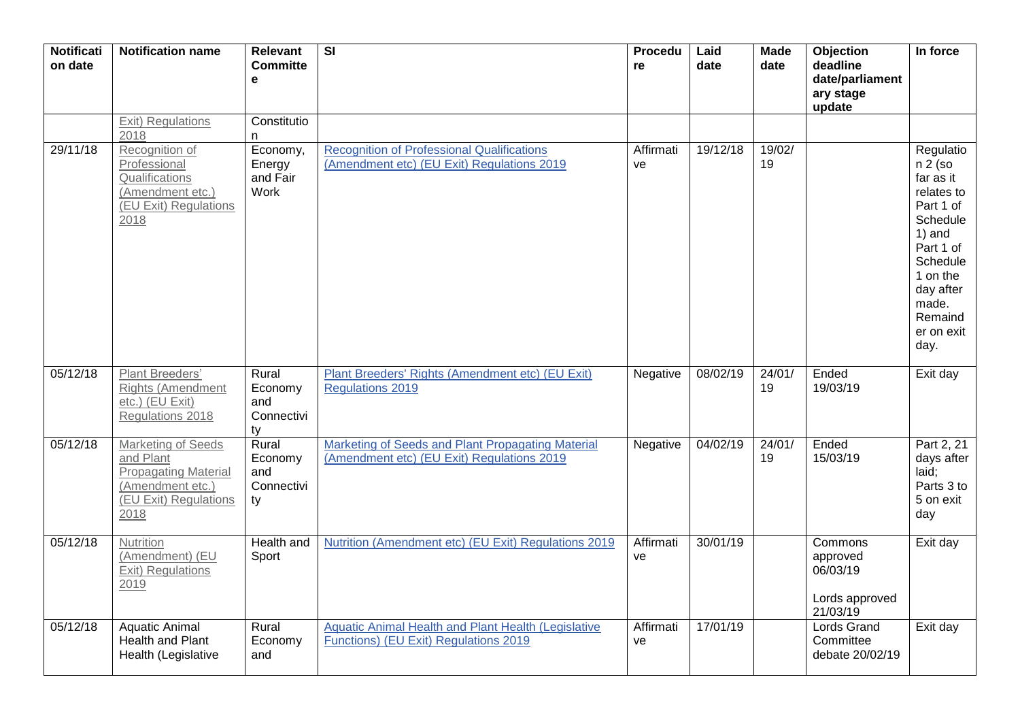| <b>Notificati</b><br>on date | <b>Notification name</b>                                                                                            | <b>Relevant</b><br><b>Committe</b><br>e     | $\overline{\mathsf{SI}}$                                                                            | Procedu<br>re   | Laid<br>date | <b>Made</b><br>date | Objection<br>deadline<br>date/parliament<br>ary stage<br>update | In force                                                                                                                                                                           |
|------------------------------|---------------------------------------------------------------------------------------------------------------------|---------------------------------------------|-----------------------------------------------------------------------------------------------------|-----------------|--------------|---------------------|-----------------------------------------------------------------|------------------------------------------------------------------------------------------------------------------------------------------------------------------------------------|
|                              | <b>Exit) Regulations</b><br>2018                                                                                    | Constitutio<br>n.                           |                                                                                                     |                 |              |                     |                                                                 |                                                                                                                                                                                    |
| 29/11/18                     | Recognition of<br>Professional<br>Qualifications<br>(Amendment etc.)<br>(EU Exit) Regulations<br>2018               | Economy,<br>Energy<br>and Fair<br>Work      | <b>Recognition of Professional Qualifications</b><br>(Amendment etc) (EU Exit) Regulations 2019     | Affirmati<br>ve | 19/12/18     | 19/02/<br>19        |                                                                 | Regulatio<br>$n 2$ (so<br>far as it<br>relates to<br>Part 1 of<br>Schedule<br>$1)$ and<br>Part 1 of<br>Schedule<br>1 on the<br>day after<br>made.<br>Remaind<br>er on exit<br>day. |
| 05/12/18                     | Plant Breeders'<br><b>Rights (Amendment</b><br>etc.) (EU Exit)<br>Regulations 2018                                  | Rural<br>Economy<br>and<br>Connectivi<br>ty | Plant Breeders' Rights (Amendment etc) (EU Exit)<br>Regulations 2019                                | Negative        | 08/02/19     | 24/01/<br>19        | Ended<br>19/03/19                                               | Exit day                                                                                                                                                                           |
| 05/12/18                     | Marketing of Seeds<br>and Plant<br><b>Propagating Material</b><br>(Amendment etc.)<br>(EU Exit) Regulations<br>2018 | Rural<br>Economy<br>and<br>Connectivi<br>ty | Marketing of Seeds and Plant Propagating Material<br>(Amendment etc) (EU Exit) Regulations 2019     | Negative        | 04/02/19     | 24/01/<br>19        | Ended<br>15/03/19                                               | Part 2, 21<br>days after<br>laid:<br>Parts 3 to<br>5 on exit<br>day                                                                                                                |
| 05/12/18                     | Nutrition<br>(Amendment) (EU<br>Exit) Regulations<br>2019                                                           | Health and<br>Sport                         | Nutrition (Amendment etc) (EU Exit) Regulations 2019                                                | Affirmati<br>ve | 30/01/19     |                     | Commons<br>approved<br>06/03/19<br>Lords approved<br>21/03/19   | Exit day                                                                                                                                                                           |
| 05/12/18                     | Aquatic Animal<br>Health and Plant<br>Health (Legislative                                                           | Rural<br>Economy<br>and                     | <b>Aquatic Animal Health and Plant Health (Legislative</b><br>Functions) (EU Exit) Regulations 2019 | Affirmati<br>ve | 17/01/19     |                     | <b>Lords Grand</b><br>Committee<br>debate 20/02/19              | Exit day                                                                                                                                                                           |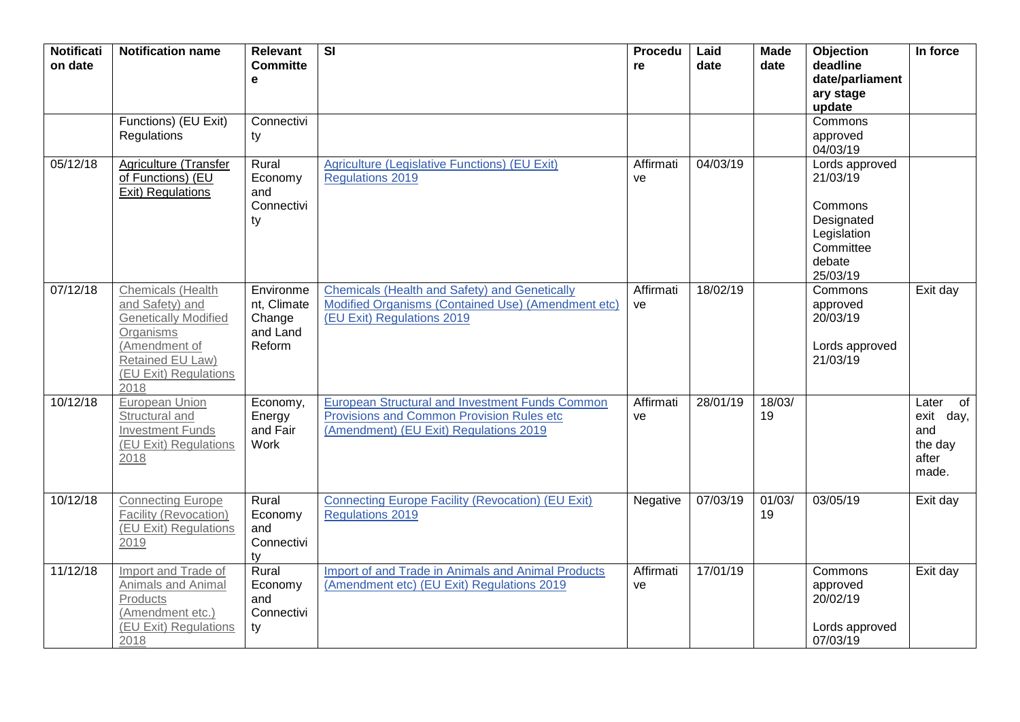| <b>Notificati</b><br>on date | <b>Notification name</b>                                                                                                                               | <b>Relevant</b><br><b>Committe</b><br>e                  | $\overline{\mathsf{SI}}$                                                                                                                      | <b>Procedu</b><br>re | Laid<br>date | <b>Made</b><br>date | Objection<br>deadline<br>date/parliament<br>ary stage<br>update                                       | In force                                                  |
|------------------------------|--------------------------------------------------------------------------------------------------------------------------------------------------------|----------------------------------------------------------|-----------------------------------------------------------------------------------------------------------------------------------------------|----------------------|--------------|---------------------|-------------------------------------------------------------------------------------------------------|-----------------------------------------------------------|
|                              | Functions) (EU Exit)<br>Regulations                                                                                                                    | Connectivi<br>ty                                         |                                                                                                                                               |                      |              |                     | Commons<br>approved<br>04/03/19                                                                       |                                                           |
| 05/12/18                     | Agriculture (Transfer<br>of Functions) (EU<br><b>Exit) Regulations</b>                                                                                 | Rural<br>Economy<br>and<br>Connectivi<br>ty              | Agriculture (Legislative Functions) (EU Exit)<br><b>Regulations 2019</b>                                                                      | Affirmati<br>ve      | 04/03/19     |                     | Lords approved<br>21/03/19<br>Commons<br>Designated<br>Legislation<br>Committee<br>debate<br>25/03/19 |                                                           |
| 07/12/18                     | Chemicals (Health<br>and Safety) and<br><b>Genetically Modified</b><br>Organisms<br>(Amendment of<br>Retained EU Law)<br>(EU Exit) Regulations<br>2018 | Environme<br>nt, Climate<br>Change<br>and Land<br>Reform | Chemicals (Health and Safety) and Genetically<br>Modified Organisms (Contained Use) (Amendment etc)<br>(EU Exit) Regulations 2019             | Affirmati<br>ve      | 18/02/19     |                     | Commons<br>approved<br>20/03/19<br>Lords approved<br>21/03/19                                         | Exit day                                                  |
| 10/12/18                     | European Union<br>Structural and<br><b>Investment Funds</b><br>(EU Exit) Regulations<br>2018                                                           | Economy,<br>Energy<br>and Fair<br>Work                   | European Structural and Investment Funds Common<br><b>Provisions and Common Provision Rules etc</b><br>(Amendment) (EU Exit) Regulations 2019 | Affirmati<br>ve      | 28/01/19     | 18/03/<br>19        |                                                                                                       | Later of<br>exit day,<br>and<br>the day<br>after<br>made. |
| 10/12/18                     | <b>Connecting Europe</b><br>Facility (Revocation)<br>(EU Exit) Regulations<br>2019                                                                     | Rural<br>Economy<br>and<br>Connectivi<br>ty              | <b>Connecting Europe Facility (Revocation) (EU Exit)</b><br><b>Regulations 2019</b>                                                           | Negative             | 07/03/19     | 01/03/<br>19        | 03/05/19                                                                                              | Exit day                                                  |
| 11/12/18                     | Import and Trade of<br>Animals and Animal<br>Products<br>(Amendment etc.)<br>(EU Exit) Regulations<br>2018                                             | Rural<br>Economy<br>and<br>Connectivi<br>ty              | Import of and Trade in Animals and Animal Products<br>(Amendment etc) (EU Exit) Regulations 2019                                              | Affirmati<br>ve      | 17/01/19     |                     | Commons<br>approved<br>20/02/19<br>Lords approved<br>07/03/19                                         | Exit day                                                  |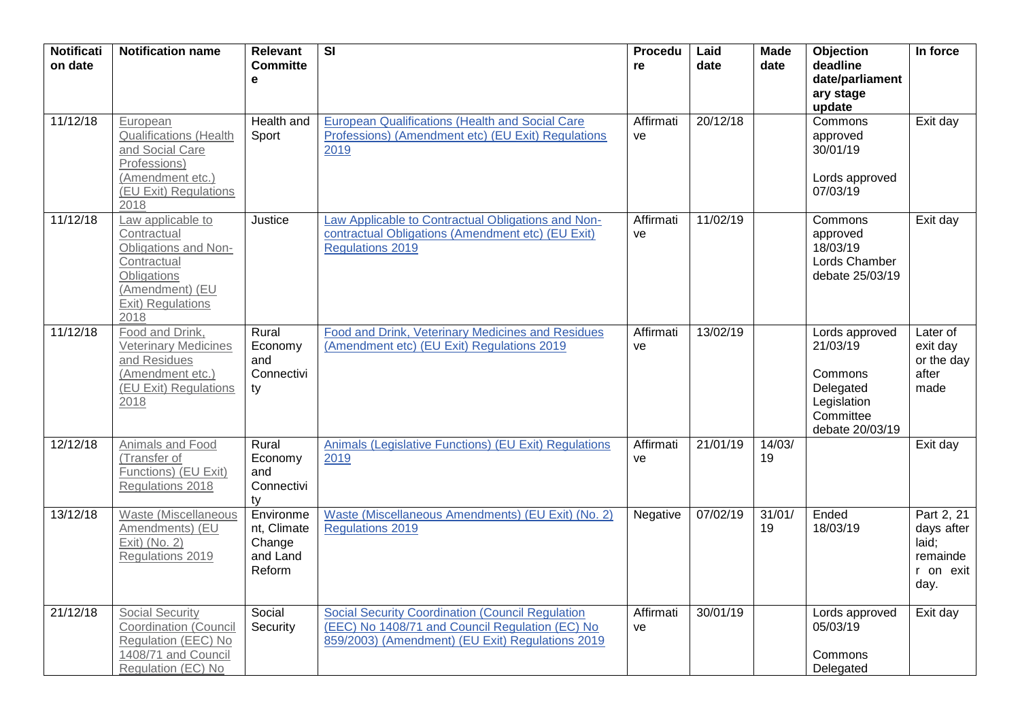| <b>Notificati</b><br>on date | <b>Notification name</b>                                                                                                               | Relevant<br><b>Committe</b><br>e                         | $\overline{\mathsf{SI}}$                                                                                                                                       | <b>Procedu</b><br>re | Laid<br>date | <b>Made</b><br>date | Objection<br>deadline<br>date/parliament<br>ary stage<br>update                                   | In force                                                           |
|------------------------------|----------------------------------------------------------------------------------------------------------------------------------------|----------------------------------------------------------|----------------------------------------------------------------------------------------------------------------------------------------------------------------|----------------------|--------------|---------------------|---------------------------------------------------------------------------------------------------|--------------------------------------------------------------------|
| 11/12/18                     | European<br><b>Qualifications (Health</b><br>and Social Care<br>Professions)<br>(Amendment etc.)<br>(EU Exit) Regulations<br>2018      | Health and<br>Sport                                      | <b>European Qualifications (Health and Social Care)</b><br>Professions) (Amendment etc) (EU Exit) Regulations<br>2019                                          | Affirmati<br>ve      | 20/12/18     |                     | Commons<br>approved<br>30/01/19<br>Lords approved<br>07/03/19                                     | Exit day                                                           |
| 11/12/18                     | Law applicable to<br>Contractual<br>Obligations and Non-<br>Contractual<br>Obligations<br>(Amendment) (EU<br>Exit) Regulations<br>2018 | Justice                                                  | Law Applicable to Contractual Obligations and Non-<br>contractual Obligations (Amendment etc) (EU Exit)<br><b>Regulations 2019</b>                             | Affirmati<br>ve      | 11/02/19     |                     | Commons<br>approved<br>18/03/19<br>Lords Chamber<br>debate 25/03/19                               | Exit day                                                           |
| 11/12/18                     | Food and Drink,<br><b>Veterinary Medicines</b><br>and Residues<br>(Amendment etc.)<br>(EU Exit) Regulations<br>2018                    | Rural<br>Economy<br>and<br>Connectivi<br>ty              | Food and Drink, Veterinary Medicines and Residues<br>(Amendment etc) (EU Exit) Regulations 2019                                                                | Affirmati<br>ve      | 13/02/19     |                     | Lords approved<br>21/03/19<br>Commons<br>Delegated<br>Legislation<br>Committee<br>debate 20/03/19 | Later of<br>exit day<br>or the day<br>after<br>made                |
| 12/12/18                     | Animals and Food<br>(Transfer of<br>Functions) (EU Exit)<br>Regulations 2018                                                           | Rural<br>Economy<br>and<br>Connectivi<br>tv              | Animals (Legislative Functions) (EU Exit) Regulations<br>2019                                                                                                  | Affirmati<br>ve      | 21/01/19     | 14/03/<br>19        |                                                                                                   | Exit day                                                           |
| 13/12/18                     | Waste (Miscellaneous<br>Amendments) (EU<br>Exit) (No. 2)<br>Regulations 2019                                                           | Environme<br>nt, Climate<br>Change<br>and Land<br>Reform | Waste (Miscellaneous Amendments) (EU Exit) (No. 2)<br><b>Regulations 2019</b>                                                                                  | Negative             | 07/02/19     | 31/01/<br>19        | Ended<br>18/03/19                                                                                 | Part 2, 21<br>days after<br>laid;<br>remainde<br>r on exit<br>day. |
| 21/12/18                     | <b>Social Security</b><br><b>Coordination (Council</b><br>Regulation (EEC) No<br>1408/71 and Council<br>Regulation (EC) No             | Social<br>Security                                       | <b>Social Security Coordination (Council Regulation</b><br>(EEC) No 1408/71 and Council Regulation (EC) No<br>859/2003) (Amendment) (EU Exit) Regulations 2019 | Affirmati<br>ve      | 30/01/19     |                     | Lords approved<br>05/03/19<br>Commons<br>Delegated                                                | Exit day                                                           |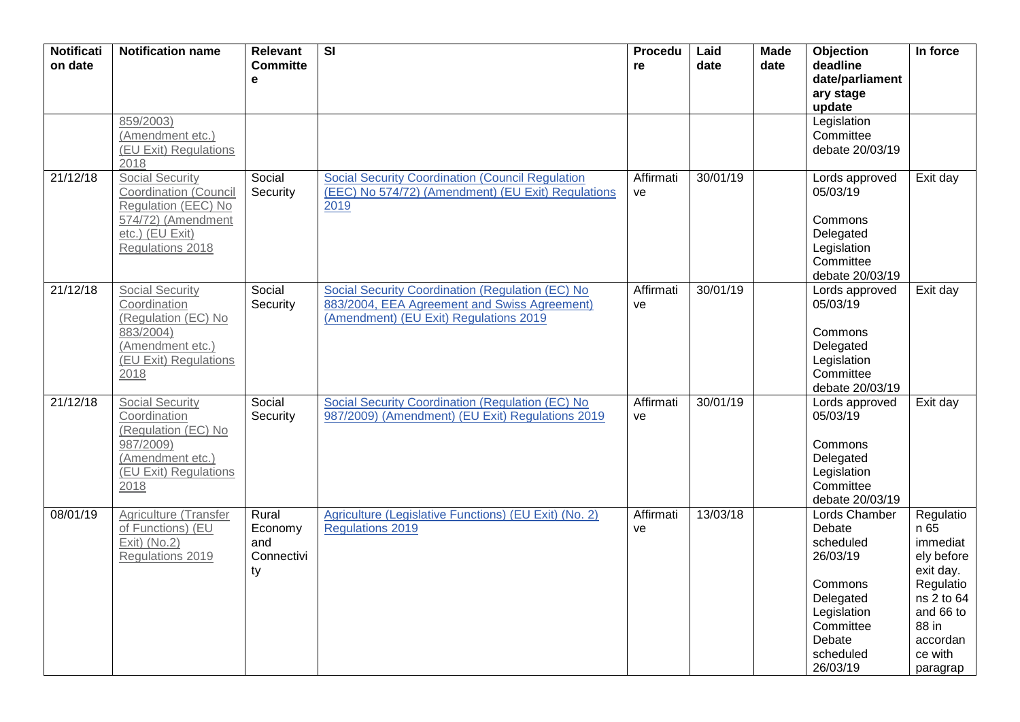| <b>Notificati</b><br>on date | <b>Notification name</b>                                                                                                                   | <b>Relevant</b><br><b>Committe</b><br>$\mathbf e$ | $\overline{\mathbf{S}}$                                                                                                                    | Procedu<br>re   | Laid<br>date | <b>Made</b><br>date | Objection<br>deadline<br>date/parliament<br>ary stage<br>update                                                                         | In force                                                                                                                                     |
|------------------------------|--------------------------------------------------------------------------------------------------------------------------------------------|---------------------------------------------------|--------------------------------------------------------------------------------------------------------------------------------------------|-----------------|--------------|---------------------|-----------------------------------------------------------------------------------------------------------------------------------------|----------------------------------------------------------------------------------------------------------------------------------------------|
|                              | 859/2003)<br>(Amendment etc.)<br>(EU Exit) Regulations<br>2018                                                                             |                                                   |                                                                                                                                            |                 |              |                     | Legislation<br>Committee<br>debate 20/03/19                                                                                             |                                                                                                                                              |
| 21/12/18                     | <b>Social Security</b><br><b>Coordination (Council</b><br>Regulation (EEC) No<br>574/72) (Amendment<br>etc.) (EU Exit)<br>Regulations 2018 | Social<br>Security                                | <b>Social Security Coordination (Council Regulation</b><br>(EEC) No 574/72) (Amendment) (EU Exit) Regulations<br>2019                      | Affirmati<br>ve | 30/01/19     |                     | Lords approved<br>05/03/19<br>Commons<br>Delegated<br>Legislation<br>Committee<br>debate 20/03/19                                       | Exit day                                                                                                                                     |
| 21/12/18                     | <b>Social Security</b><br>Coordination<br>(Regulation (EC) No<br>883/2004)<br>(Amendment etc.)<br>(EU Exit) Regulations<br>2018            | Social<br>Security                                | Social Security Coordination (Regulation (EC) No<br>883/2004, EEA Agreement and Swiss Agreement)<br>(Amendment) (EU Exit) Regulations 2019 | Affirmati<br>ve | 30/01/19     |                     | Lords approved<br>05/03/19<br>Commons<br>Delegated<br>Legislation<br>Committee<br>debate 20/03/19                                       | Exit day                                                                                                                                     |
| 21/12/18                     | <b>Social Security</b><br>Coordination<br>(Regulation (EC) No<br>987/2009)<br>(Amendment etc.)<br>(EU Exit) Regulations<br>2018            | Social<br>Security                                | Social Security Coordination (Regulation (EC) No<br>987/2009) (Amendment) (EU Exit) Regulations 2019                                       | Affirmati<br>ve | 30/01/19     |                     | Lords approved<br>05/03/19<br>Commons<br>Delegated<br>Legislation<br>Committee<br>debate 20/03/19                                       | Exit day                                                                                                                                     |
| 08/01/19                     | Agriculture (Transfer<br>of Functions) (EU<br>$Exit)$ (No.2)<br>Regulations 2019                                                           | Rural<br>Economy<br>and<br>Connectivi<br>ty       | Agriculture (Legislative Functions) (EU Exit) (No. 2)<br><b>Regulations 2019</b>                                                           | Affirmati<br>ve | 13/03/18     |                     | Lords Chamber<br>Debate<br>scheduled<br>26/03/19<br>Commons<br>Delegated<br>Legislation<br>Committee<br>Debate<br>scheduled<br>26/03/19 | Regulatio<br>n 65<br>immediat<br>ely before<br>exit day.<br>Regulatio<br>ns 2 to 64<br>and 66 to<br>88 in<br>accordan<br>ce with<br>paragrap |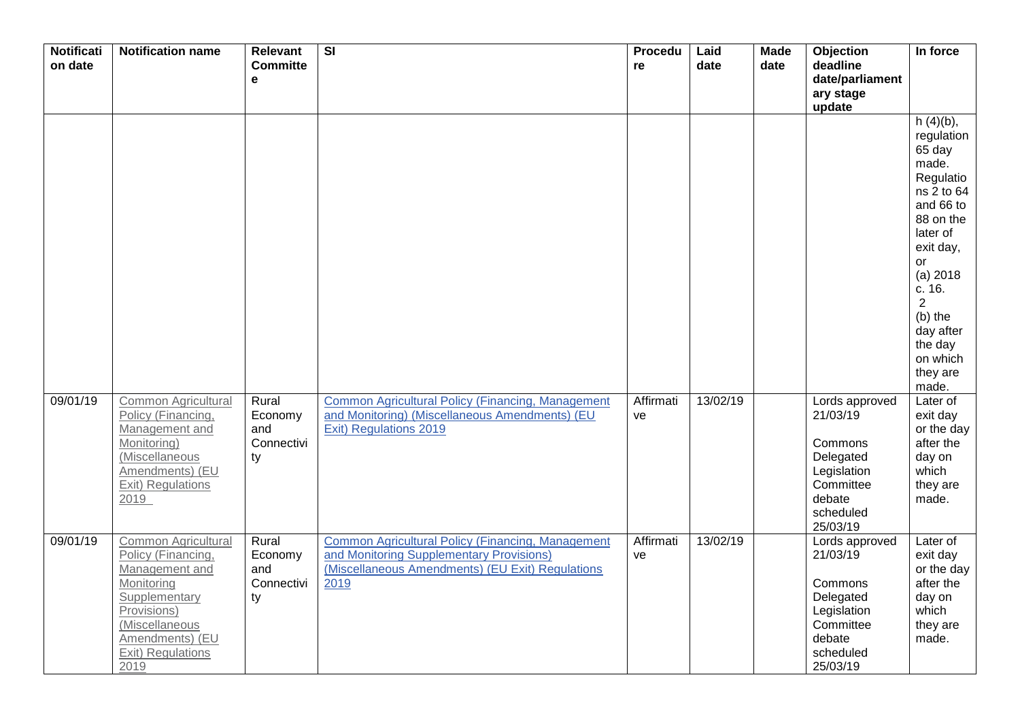| <b>Notificati</b><br>on date | <b>Notification name</b>                                                                                                                                                    | <b>Relevant</b><br><b>Committe</b><br>е     | $\overline{\mathbf{S}}$                                                                                                                                   | Procedu<br>re   | Laid<br>date | <b>Made</b><br>date | Objection<br>deadline<br>date/parliament<br>ary stage<br>update                                                   | In force                                                                                                                                                                                                                                       |
|------------------------------|-----------------------------------------------------------------------------------------------------------------------------------------------------------------------------|---------------------------------------------|-----------------------------------------------------------------------------------------------------------------------------------------------------------|-----------------|--------------|---------------------|-------------------------------------------------------------------------------------------------------------------|------------------------------------------------------------------------------------------------------------------------------------------------------------------------------------------------------------------------------------------------|
|                              |                                                                                                                                                                             |                                             |                                                                                                                                                           |                 |              |                     |                                                                                                                   | $h(4)(b)$ ,<br>regulation<br>65 day<br>made.<br>Regulatio<br>ns 2 to 64<br>and 66 to<br>88 on the<br>later of<br>exit day,<br>or<br>(a) 2018<br>c. 16.<br>$\overline{2}$<br>$(b)$ the<br>day after<br>the day<br>on which<br>they are<br>made. |
| 09/01/19                     | Common Agricultural<br>Policy (Financing,<br>Management and<br>Monitoring)<br>(Miscellaneous<br>Amendments) (EU<br>Exit) Regulations<br>2019                                | Rural<br>Economy<br>and<br>Connectivi<br>ty | <b>Common Agricultural Policy (Financing, Management</b><br>and Monitoring) (Miscellaneous Amendments) (EU<br>Exit) Regulations 2019                      | Affirmati<br>ve | 13/02/19     |                     | Lords approved<br>21/03/19<br>Commons<br>Delegated<br>Legislation<br>Committee<br>debate<br>scheduled<br>25/03/19 | Later of<br>exit day<br>or the day<br>after the<br>day on<br>which<br>they are<br>made.                                                                                                                                                        |
| 09/01/19                     | Common Agricultural<br>Policy (Financing,<br>Management and<br>Monitoring<br>Supplementary<br>Provisions)<br>(Miscellaneous<br>Amendments) (EU<br>Exit) Regulations<br>2019 | Rural<br>Economy<br>and<br>Connectivi<br>ty | Common Agricultural Policy (Financing, Management<br>and Monitoring Supplementary Provisions)<br>(Miscellaneous Amendments) (EU Exit) Regulations<br>2019 | Affirmati<br>ve | 13/02/19     |                     | Lords approved<br>21/03/19<br>Commons<br>Delegated<br>Legislation<br>Committee<br>debate<br>scheduled<br>25/03/19 | Later of<br>exit day<br>or the day<br>after the<br>day on<br>which<br>they are<br>made.                                                                                                                                                        |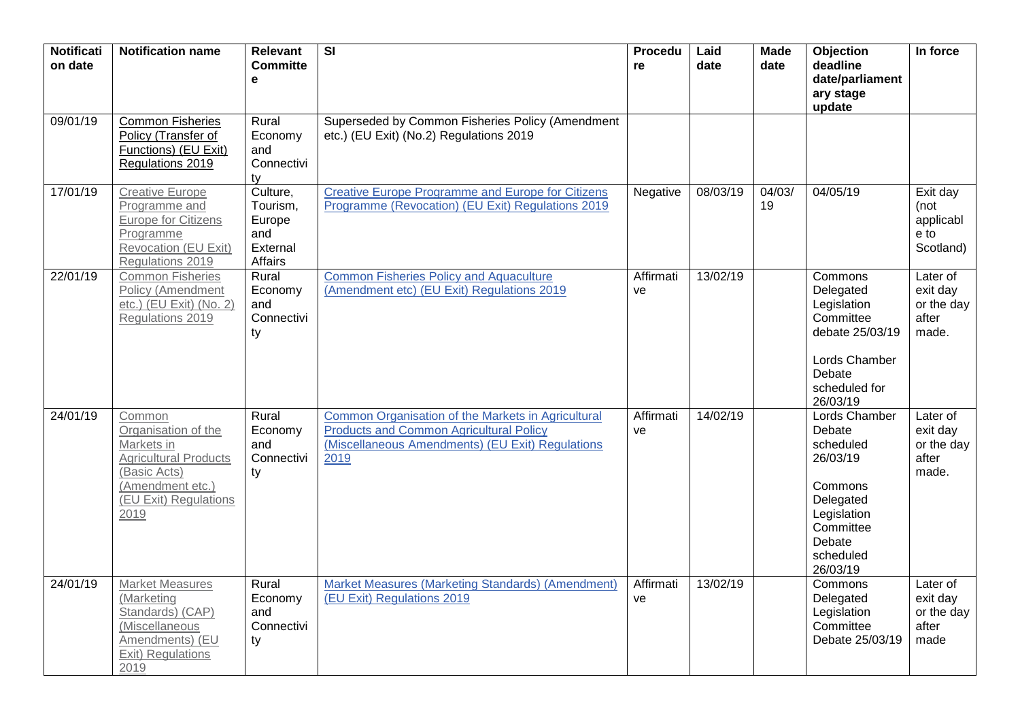| <b>Notificati</b><br>on date | <b>Notification name</b>                                                                                                                         | Relevant<br><b>Committe</b><br>$\mathbf e$                   | $\overline{\mathbf{S}}$                                                                                                                                          | Procedu<br>re   | Laid<br>date | <b>Made</b><br>date | Objection<br>deadline<br>date/parliament<br>ary stage<br>update                                                                         | In force                                             |
|------------------------------|--------------------------------------------------------------------------------------------------------------------------------------------------|--------------------------------------------------------------|------------------------------------------------------------------------------------------------------------------------------------------------------------------|-----------------|--------------|---------------------|-----------------------------------------------------------------------------------------------------------------------------------------|------------------------------------------------------|
| 09/01/19                     | <b>Common Fisheries</b><br>Policy (Transfer of<br>Functions) (EU Exit)<br>Regulations 2019                                                       | Rural<br>Economy<br>and<br>Connectivi<br>ty                  | Superseded by Common Fisheries Policy (Amendment<br>etc.) (EU Exit) (No.2) Regulations 2019                                                                      |                 |              |                     |                                                                                                                                         |                                                      |
| 17/01/19                     | <b>Creative Europe</b><br>Programme and<br>Europe for Citizens<br>Programme<br>Revocation (EU Exit)<br>Regulations 2019                          | Culture,<br>Tourism,<br>Europe<br>and<br>External<br>Affairs | <b>Creative Europe Programme and Europe for Citizens</b><br>Programme (Revocation) (EU Exit) Regulations 2019                                                    | Negative        | 08/03/19     | 04/03/<br>19        | 04/05/19                                                                                                                                | Exit day<br>(not<br>applicabl<br>e to<br>Scotland)   |
| 22/01/19                     | <b>Common Fisheries</b><br>Policy (Amendment<br>etc.) (EU Exit) (No. 2)<br>Regulations 2019                                                      | Rural<br>Economy<br>and<br>Connectivi<br>ty                  | <b>Common Fisheries Policy and Aquaculture</b><br>(Amendment etc) (EU Exit) Regulations 2019                                                                     | Affirmati<br>ve | 13/02/19     |                     | Commons<br>Delegated<br>Legislation<br>Committee<br>debate 25/03/19<br>Lords Chamber<br>Debate<br>scheduled for<br>26/03/19             | Later of<br>exit day<br>or the day<br>after<br>made. |
| 24/01/19                     | Common<br>Organisation of the<br>Markets in<br><b>Agricultural Products</b><br>(Basic Acts)<br>(Amendment etc.)<br>(EU Exit) Regulations<br>2019 | Rural<br>Economy<br>and<br>Connectivi<br>ty                  | Common Organisation of the Markets in Agricultural<br><b>Products and Common Agricultural Policy</b><br>(Miscellaneous Amendments) (EU Exit) Regulations<br>2019 | Affirmati<br>ve | 14/02/19     |                     | Lords Chamber<br>Debate<br>scheduled<br>26/03/19<br>Commons<br>Delegated<br>Legislation<br>Committee<br>Debate<br>scheduled<br>26/03/19 | Later of<br>exit day<br>or the day<br>after<br>made. |
| 24/01/19                     | <b>Market Measures</b><br>(Marketing<br>Standards) (CAP)<br>(Miscellaneous<br>Amendments) (EU<br>Exit) Regulations<br>2019                       | Rural<br>Economy<br>and<br>Connectivi<br>ty                  | Market Measures (Marketing Standards) (Amendment)<br>(EU Exit) Regulations 2019                                                                                  | Affirmati<br>ve | 13/02/19     |                     | Commons<br>Delegated<br>Legislation<br>Committee<br>Debate 25/03/19                                                                     | Later of<br>exit day<br>or the day<br>after<br>made  |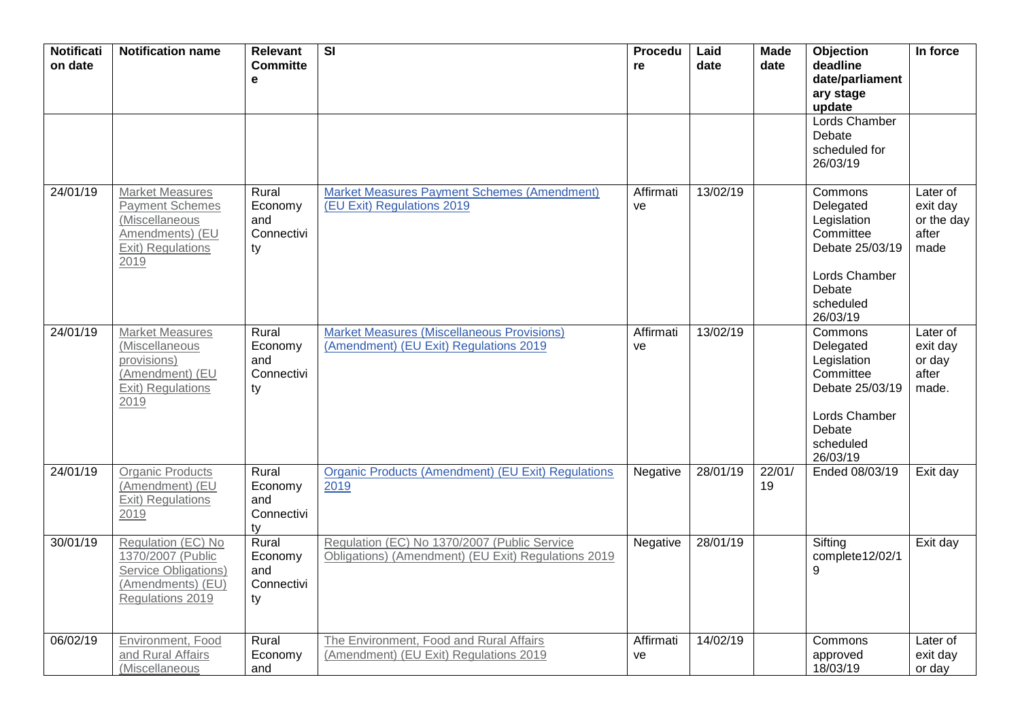| <b>Notificati</b><br>on date | <b>Notification name</b>                                                                                           | <b>Relevant</b><br><b>Committe</b><br>$\mathbf e$ | $\overline{\mathbf{S}}$                                                                             | Procedu<br>re   | Laid<br>date | <b>Made</b><br>date | Objection<br>deadline<br>date/parliament<br>ary stage<br>update<br>Lords Chamber                                        | In force                                            |
|------------------------------|--------------------------------------------------------------------------------------------------------------------|---------------------------------------------------|-----------------------------------------------------------------------------------------------------|-----------------|--------------|---------------------|-------------------------------------------------------------------------------------------------------------------------|-----------------------------------------------------|
|                              |                                                                                                                    |                                                   |                                                                                                     |                 |              |                     | Debate<br>scheduled for<br>26/03/19                                                                                     |                                                     |
| 24/01/19                     | <b>Market Measures</b><br>Payment Schemes<br>(Miscellaneous<br>Amendments) (EU<br><b>Exit) Regulations</b><br>2019 | Rural<br>Economy<br>and<br>Connectivi<br>ty       | <b>Market Measures Payment Schemes (Amendment)</b><br>(EU Exit) Regulations 2019                    | Affirmati<br>ve | 13/02/19     |                     | Commons<br>Delegated<br>Legislation<br>Committee<br>Debate 25/03/19<br>Lords Chamber<br>Debate<br>scheduled<br>26/03/19 | Later of<br>exit day<br>or the day<br>after<br>made |
| 24/01/19                     | <b>Market Measures</b><br>(Miscellaneous<br>provisions)<br>(Amendment) (EU<br>Exit) Regulations<br>2019            | Rural<br>Economy<br>and<br>Connectivi<br>ty       | <b>Market Measures (Miscellaneous Provisions)</b><br>(Amendment) (EU Exit) Regulations 2019         | Affirmati<br>ve | 13/02/19     |                     | Commons<br>Delegated<br>Legislation<br>Committee<br>Debate 25/03/19<br>Lords Chamber<br>Debate<br>scheduled<br>26/03/19 | Later of<br>exit day<br>or day<br>after<br>made.    |
| 24/01/19                     | <b>Organic Products</b><br>(Amendment) (EU<br>Exit) Regulations<br>2019                                            | Rural<br>Economy<br>and<br>Connectivi<br>ty       | <b>Organic Products (Amendment) (EU Exit) Regulations</b><br>2019                                   | Negative        | 28/01/19     | 22/01/<br>19        | Ended 08/03/19                                                                                                          | Exit day                                            |
| 30/01/19                     | Regulation (EC) No<br>1370/2007 (Public<br>Service Obligations)<br>(Amendments) (EU)<br>Regulations 2019           | Rural<br>Economy<br>and<br>Connectivi<br>ty       | Regulation (EC) No 1370/2007 (Public Service<br>Obligations) (Amendment) (EU Exit) Regulations 2019 | Negative        | 28/01/19     |                     | Sifting<br>complete12/02/1<br>9                                                                                         | Exit day                                            |
| 06/02/19                     | Environment, Food<br>and Rural Affairs<br>(Miscellaneous                                                           | Rural<br>Economy<br>and                           | The Environment, Food and Rural Affairs<br>(Amendment) (EU Exit) Regulations 2019                   | Affirmati<br>ve | 14/02/19     |                     | Commons<br>approved<br>18/03/19                                                                                         | Later of<br>exit day<br>or day                      |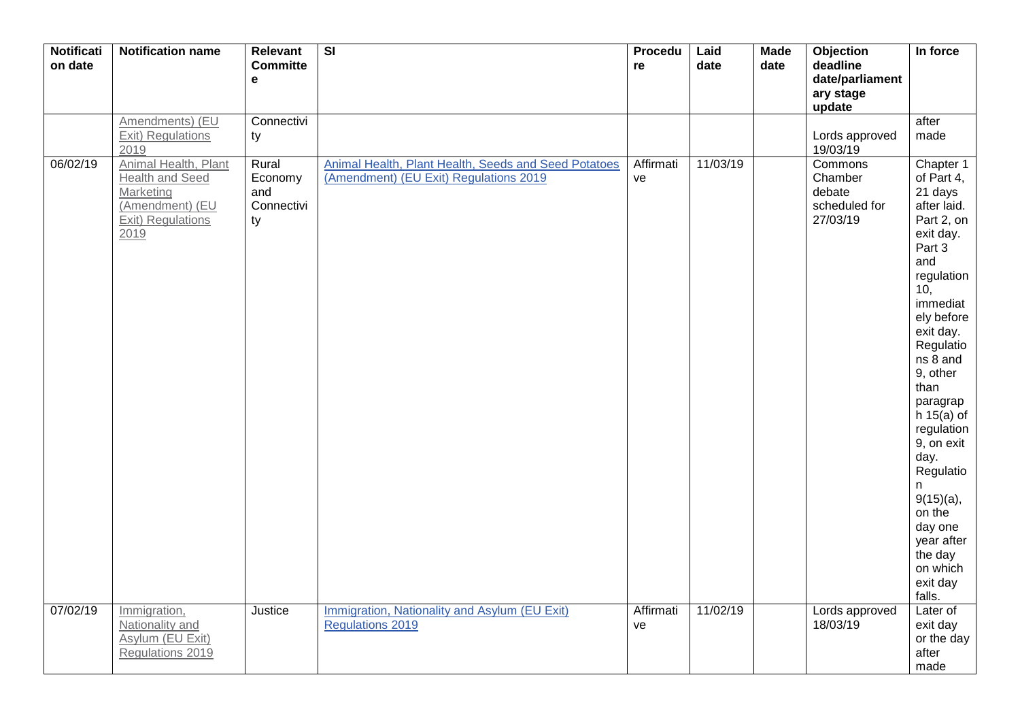| <b>Notificati</b><br>on date | <b>Notification name</b>                                                                                    | Relevant<br><b>Committe</b><br>$\mathbf{e}$ | $\overline{\mathsf{SI}}$                                                                       | Procedu<br>re   | Laid<br>date | <b>Made</b><br>date | <b>Objection</b><br>deadline<br>date/parliament<br>ary stage<br>update | In force                                                                                                                                                                                                                                                                                                                                                                                  |
|------------------------------|-------------------------------------------------------------------------------------------------------------|---------------------------------------------|------------------------------------------------------------------------------------------------|-----------------|--------------|---------------------|------------------------------------------------------------------------|-------------------------------------------------------------------------------------------------------------------------------------------------------------------------------------------------------------------------------------------------------------------------------------------------------------------------------------------------------------------------------------------|
|                              | Amendments) (EU<br>Exit) Regulations<br>2019                                                                | Connectivi<br>ty                            |                                                                                                |                 |              |                     | Lords approved<br>19/03/19                                             | after<br>made                                                                                                                                                                                                                                                                                                                                                                             |
| 06/02/19                     | Animal Health, Plant<br><b>Health and Seed</b><br>Marketing<br>(Amendment) (EU<br>Exit) Regulations<br>2019 | Rural<br>Economy<br>and<br>Connectivi<br>ty | Animal Health, Plant Health, Seeds and Seed Potatoes<br>(Amendment) (EU Exit) Regulations 2019 | Affirmati<br>ve | 11/03/19     |                     | Commons<br>Chamber<br>debate<br>scheduled for<br>27/03/19              | Chapter 1<br>of Part 4,<br>21 days<br>after laid.<br>Part 2, on<br>exit day.<br>Part 3<br>and<br>regulation<br>10,<br>immediat<br>ely before<br>exit day.<br>Regulatio<br>ns 8 and<br>9, other<br>than<br>paragrap<br>h $15(a)$ of<br>regulation<br>9, on exit<br>day.<br>Regulatio<br>n.<br>$9(15)(a)$ ,<br>on the<br>day one<br>year after<br>the day<br>on which<br>exit day<br>falls. |
| 07/02/19                     | Immigration,<br>Nationality and<br>Asylum (EU Exit)<br>Regulations 2019                                     | Justice                                     | Immigration, Nationality and Asylum (EU Exit)<br><b>Regulations 2019</b>                       | Affirmati<br>ve | 11/02/19     |                     | Lords approved<br>18/03/19                                             | Later of<br>exit day<br>or the day<br>after<br>made                                                                                                                                                                                                                                                                                                                                       |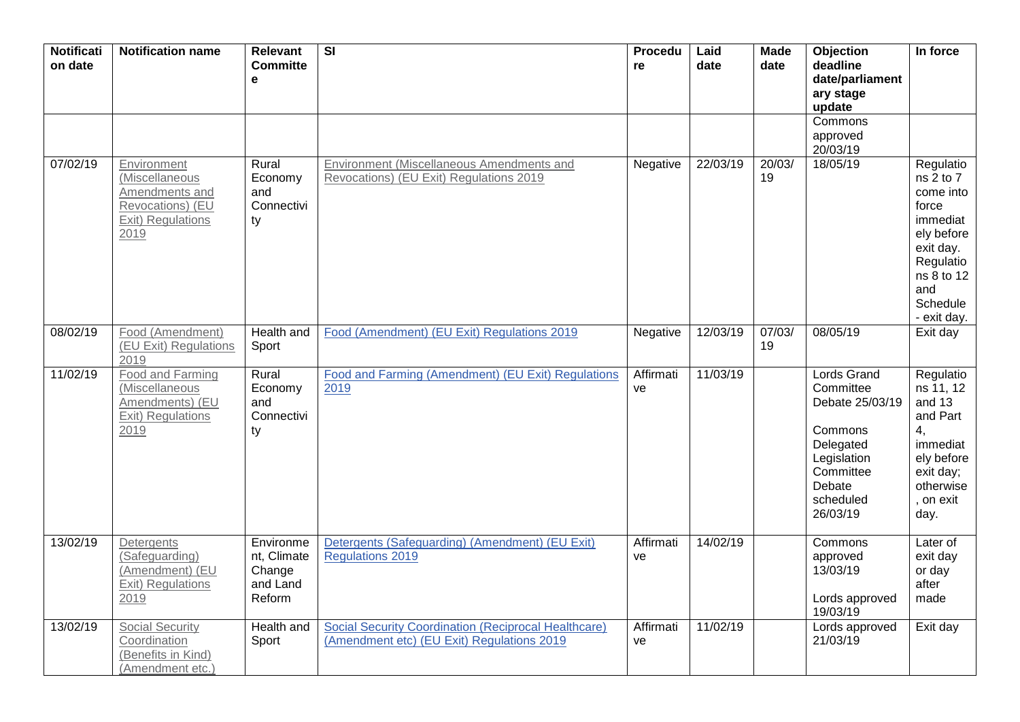| <b>Notificati</b><br>on date | <b>Notification name</b>                                                                         | <b>Relevant</b><br><b>Committe</b><br>e                  | $\overline{\mathsf{SI}}$                                                                                  | <b>Procedu</b><br>re | Laid<br>date | $\overline{\mathsf{M}}$ ade<br>date | Objection<br>deadline<br>date/parliament<br>ary stage<br>update                                                                           | In force                                                                                                                                             |
|------------------------------|--------------------------------------------------------------------------------------------------|----------------------------------------------------------|-----------------------------------------------------------------------------------------------------------|----------------------|--------------|-------------------------------------|-------------------------------------------------------------------------------------------------------------------------------------------|------------------------------------------------------------------------------------------------------------------------------------------------------|
|                              |                                                                                                  |                                                          |                                                                                                           |                      |              |                                     | Commons<br>approved<br>20/03/19                                                                                                           |                                                                                                                                                      |
| 07/02/19                     | Environment<br>(Miscellaneous<br>Amendments and<br>Revocations) (EU<br>Exit) Regulations<br>2019 | Rural<br>Economy<br>and<br>Connectivi<br>ty              | Environment (Miscellaneous Amendments and<br>Revocations) (EU Exit) Regulations 2019                      | Negative             | 22/03/19     | 20/03/<br>19                        | 18/05/19                                                                                                                                  | Regulatio<br>$ns2$ to $72$<br>come into<br>force<br>immediat<br>ely before<br>exit day.<br>Regulatio<br>ns 8 to 12<br>and<br>Schedule<br>- exit day. |
| 08/02/19                     | Food (Amendment)<br>(EU Exit) Regulations<br>2019                                                | Health and<br>Sport                                      | Food (Amendment) (EU Exit) Regulations 2019                                                               | Negative             | 12/03/19     | 07/03/<br>19                        | 08/05/19                                                                                                                                  | Exit day                                                                                                                                             |
| 11/02/19                     | Food and Farming<br>(Miscellaneous<br>Amendments) (EU<br>Exit) Regulations<br>2019               | Rural<br>Economy<br>and<br>Connectivi<br>ty              | Food and Farming (Amendment) (EU Exit) Regulations<br>2019                                                | Affirmati<br>ve      | 11/03/19     |                                     | <b>Lords Grand</b><br>Committee<br>Debate 25/03/19<br>Commons<br>Delegated<br>Legislation<br>Committee<br>Debate<br>scheduled<br>26/03/19 | Regulatio<br>ns 11, 12<br>and 13<br>and Part<br>4,<br>immediat<br>ely before<br>exit day;<br>otherwise<br>, on exit<br>day.                          |
| 13/02/19                     | Detergents<br>(Safeguarding)<br>(Amendment) (EU<br><b>Exit) Regulations</b><br>2019              | Environme<br>nt, Climate<br>Change<br>and Land<br>Reform | Detergents (Safeguarding) (Amendment) (EU Exit)<br><b>Regulations 2019</b>                                | Affirmati<br>ve      | 14/02/19     |                                     | Commons<br>approved<br>13/03/19<br>Lords approved<br>19/03/19                                                                             | Later of<br>exit day<br>or day<br>after<br>made                                                                                                      |
| 13/02/19                     | <b>Social Security</b><br>Coordination<br>(Benefits in Kind)<br>(Amendment etc.)                 | Health and<br>Sport                                      | <b>Social Security Coordination (Reciprocal Healthcare)</b><br>(Amendment etc) (EU Exit) Regulations 2019 | Affirmati<br>ve      | 11/02/19     |                                     | Lords approved<br>21/03/19                                                                                                                | Exit day                                                                                                                                             |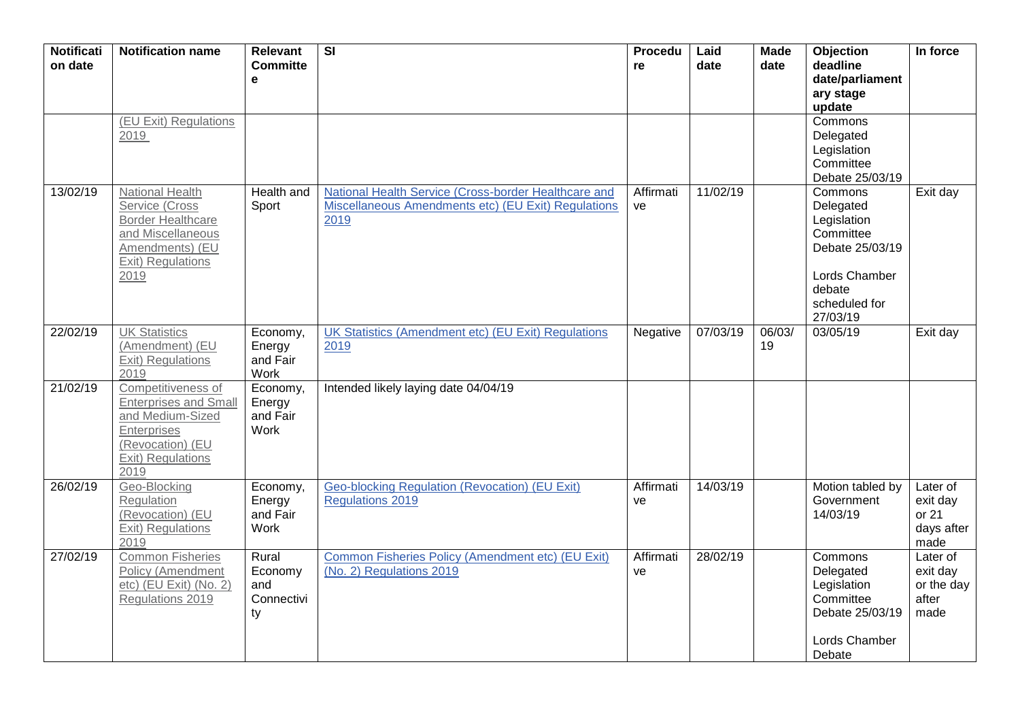| <b>Notificati</b><br>on date | <b>Notification name</b>                                                                                                               | <b>Relevant</b><br><b>Committe</b><br>е     | $\overline{\mathsf{SI}}$                                                                                            | Procedu<br>re   | Laid<br>date | <b>Made</b><br>date | Objection<br>deadline<br>date/parliament<br>ary stage<br>update                                                             | In force                                            |
|------------------------------|----------------------------------------------------------------------------------------------------------------------------------------|---------------------------------------------|---------------------------------------------------------------------------------------------------------------------|-----------------|--------------|---------------------|-----------------------------------------------------------------------------------------------------------------------------|-----------------------------------------------------|
|                              | (EU Exit) Regulations<br>2019                                                                                                          |                                             |                                                                                                                     |                 |              |                     | Commons<br>Delegated<br>Legislation<br>Committee<br>Debate 25/03/19                                                         |                                                     |
| 13/02/19                     | National Health<br>Service (Cross<br><b>Border Healthcare</b><br>and Miscellaneous<br>Amendments) (EU<br>Exit) Regulations<br>2019     | Health and<br>Sport                         | National Health Service (Cross-border Healthcare and<br>Miscellaneous Amendments etc) (EU Exit) Regulations<br>2019 | Affirmati<br>ve | 11/02/19     |                     | Commons<br>Delegated<br>Legislation<br>Committee<br>Debate 25/03/19<br>Lords Chamber<br>debate<br>scheduled for<br>27/03/19 | Exit day                                            |
| 22/02/19                     | <b>UK Statistics</b><br>(Amendment) (EU<br>Exit) Regulations<br>2019                                                                   | Economy,<br>Energy<br>and Fair<br>Work      | UK Statistics (Amendment etc) (EU Exit) Regulations<br>2019                                                         | Negative        | 07/03/19     | 06/03/<br>19        | 03/05/19                                                                                                                    | Exit day                                            |
| 21/02/19                     | Competitiveness of<br><b>Enterprises and Small</b><br>and Medium-Sized<br>Enterprises<br>(Revocation) (EU<br>Exit) Regulations<br>2019 | Economy,<br>Energy<br>and Fair<br>Work      | Intended likely laying date 04/04/19                                                                                |                 |              |                     |                                                                                                                             |                                                     |
| 26/02/19                     | Geo-Blocking<br>Regulation<br>(Revocation) (EU<br>Exit) Regulations<br>2019                                                            | Economy,<br>Energy<br>and Fair<br>Work      | Geo-blocking Regulation (Revocation) (EU Exit)<br><b>Regulations 2019</b>                                           | Affirmati<br>ve | 14/03/19     |                     | Motion tabled by<br>Government<br>14/03/19                                                                                  | Later of<br>exit day<br>or 21<br>days after<br>made |
| 27/02/19                     | <b>Common Fisheries</b><br><b>Policy (Amendment</b><br>etc) (EU Exit) (No. 2)<br>Regulations 2019                                      | Rural<br>Economy<br>and<br>Connectivi<br>ty | Common Fisheries Policy (Amendment etc) (EU Exit)<br>(No. 2) Regulations 2019                                       | Affirmati<br>ve | 28/02/19     |                     | Commons<br>Delegated<br>Legislation<br>Committee<br>Debate 25/03/19<br>Lords Chamber<br>Debate                              | Later of<br>exit day<br>or the day<br>after<br>made |